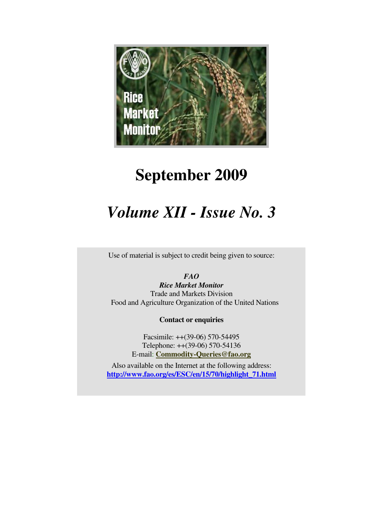

# **September 2009**

# *Volume XII - Issue No. 3*

Use of material is subject to credit being given to source:

# *FAO*

*Rice Market Monitor*  Trade and Markets Division Food and Agriculture Organization of the United Nations

**Contact or enquiries**

Facsimile: ++(39-06) 570-54495 Telephone: ++(39-06) 570-54136 E-mail: **Commodity-Queries@fao.org**

Also available on the Internet at the following address: **http://www.fao.org/es/ESC/en/15/70/highlight\_71.html**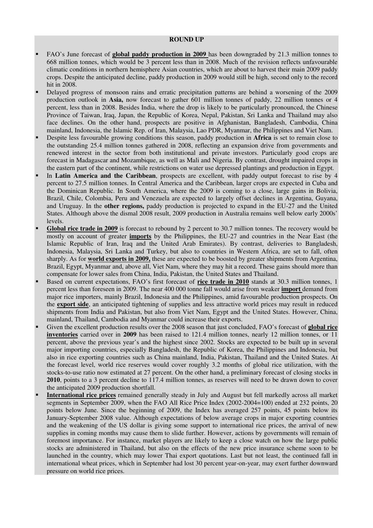#### **ROUND UP**

- FAO's June forecast of **global paddy production in 2009** has been downgraded by 21.3 million tonnes to 668 million tonnes, which would be 3 percent less than in 2008. Much of the revision reflects unfavourable climatic conditions in northern hemisphere Asian countries, which are about to harvest their main 2009 paddy crops. Despite the anticipated decline, paddy production in 2009 would still be high, second only to the record hit in 2008.
- Delayed progress of monsoon rains and erratic precipitation patterns are behind a worsening of the 2009 production outlook in **Asia,** now forecast to gather 601 million tonnes of paddy, 22 million tonnes or 4 percent, less than in 2008. Besides India, where the drop is likely to be particularly pronounced, the Chinese Province of Taiwan, Iraq, Japan, the Republic of Korea, Nepal, Pakistan, Sri Lanka and Thailand may also face declines. On the other hand, prospects are positive in Afghanistan, Bangladesh, Cambodia, China mainland, Indonesia, the Islamic Rep. of Iran, Malaysia, Lao PDR, Myanmar, the Philippines and Viet Nam.
- Despite less favourable growing conditions this season, paddy production in **Africa** is set to remain close to the outstanding 25.4 million tonnes gathered in 2008, reflecting an expansion drive from governments and renewed interest in the sector from both institutional and private investors. Particularly good crops are forecast in Madagascar and Mozambique, as well as Mali and Nigeria. By contrast, drought impaired crops in the eastern part of the continent, while restrictions on water use depressed plantings and production in Egypt.
- In **Latin America and the Caribbean**, prospects are excellent, with paddy output forecast to rise by 4 percent to 27.5 million tonnes. In Central America and the Caribbean, larger crops are expected in Cuba and the Dominican Republic. In South America, where the 2009 is coming to a close, large gains in Bolivia, Brazil, Chile, Colombia, Peru and Venezuela are expected to largely offset declines in Argentina, Guyana, and Uruguay. In the **other regions,** paddy production is projected to expand in the EU-27 and the United States. Although above the dismal 2008 result, 2009 production in Australia remains well below early 2000s' levels.
- Global rice trade in 2009 is forecast to rebound by 2 percent to 30.7 million tonnes. The recovery would be mostly on account of greater **imports** by the Philippines, the EU-27 and countries in the Near East (the Islamic Republic of Iran, Iraq and the United Arab Emirates). By contrast, deliveries to Bangladesh, Indonesia, Malaysia, Sri Lanka and Turkey, but also to countries in Western Africa, are set to fall, often sharply. As for **world exports in 2009,** these are expected to be boosted by greater shipments from Argentina, Brazil, Egypt, Myanmar and, above all, Viet Nam, where they may hit a record. These gains should more than compensate for lower sales from China, India, Pakistan, the United States and Thailand.
- Based on current expectations, FAO's first forecast of **rice trade in 2010** stands at 30.3 million tonnes, 1 percent less than foreseen in 2009. The near 400 000 tonne fall would arise from weaker **import** demand from major rice importers, mainly Brazil, Indonesia and the Philippines, amid favourable production prospects. On the **export side**, an anticipated tightening of supplies and less attractive world prices may result in reduced shipments from India and Pakistan, but also from Viet Nam, Egypt and the United States. However, China, mainland, Thailand, Cambodia and Myanmar could increase their exports.
- Given the excellent production results over the 2008 season that just concluded, FAO's forecast of **global rice inventories** carried over in **2009** has been raised to 121.4 million tonnes, nearly 12 million tonnes, or 11 percent, above the previous year's and the highest since 2002. Stocks are expected to be built up in several major importing countries, especially Bangladesh, the Republic of Korea, the Philippines and Indonesia, but also in rice exporting countries such as China mainland, India, Pakistan, Thailand and the United States. At the forecast level, world rice reserves would cover roughly 3.2 months of global rice utilization, with the stocks-to-use ratio now estimated at 27 percent. On the other hand, a preliminary forecast of closing stocks in **2010**, points to a 3 percent decline to 117.4 million tonnes, as reserves will need to be drawn down to cover the anticipated 2009 production shortfall.
- **International rice prices** remained generally steady in July and August but fell markedly across all market segments in September 2009, when the FAO All Rice Price Index (2002-2004=100) ended at 232 points, 20 points below June. Since the beginning of 2009, the Index has averaged 257 points, 45 points below its January-September 2008 value. Although expectations of below average crops in major exporting countries and the weakening of the US dollar is giving some support to international rice prices, the arrival of new supplies in coming months may cause them to slide further. However, actions by governments will remain of foremost importance. For instance, market players are likely to keep a close watch on how the large public stocks are administered in Thailand, but also on the effects of the new price insurance scheme soon to be launched in the country, which may lower Thai export quotations. Last but not least, the continued fall in international wheat prices, which in September had lost 30 percent year-on-year, may exert further downward pressure on world rice prices.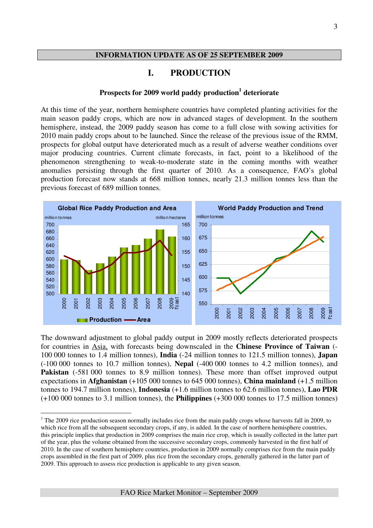#### **INFORMATION UPDATE AS OF 25 SEPTEMBER 2009**

# **I. PRODUCTION**

# **Prospects for 2009 world paddy production<sup>1</sup> deteriorate**

At this time of the year, northern hemisphere countries have completed planting activities for the main season paddy crops, which are now in advanced stages of development. In the southern hemisphere, instead, the 2009 paddy season has come to a full close with sowing activities for 2010 main paddy crops about to be launched. Since the release of the previous issue of the RMM, prospects for global output have deteriorated much as a result of adverse weather conditions over major producing countries. Current climate forecasts, in fact, point to a likelihood of the phenomenon strengthening to weak-to-moderate state in the coming months with weather anomalies persisting through the first quarter of 2010. As a consequence, FAO's global production forecast now stands at 668 million tonnes, nearly 21.3 million tonnes less than the previous forecast of 689 million tonnes.



The downward adjustment to global paddy output in 2009 mostly reflects deteriorated prospects for countries in Asia, with forecasts being downscaled in the **Chinese Province of Taiwan** (- 100 000 tonnes to 1.4 million tonnes), **India** (-24 million tonnes to 121.5 million tonnes), **Japan**  (-100 000 tonnes to 10.7 million tonnes), **Nepal** (-400 000 tonnes to 4.2 million tonnes), and Pakistan (-581 000 tonnes to 8.9 million tonnes). These more than offset improved output expectations in **Afghanistan** (+105 000 tonnes to 645 000 tonnes), **China mainland** (+1.5 million tonnes to 194.7 million tonnes), **Indonesia** (+1.6 million tonnes to 62.6 million tonnes), **Lao PDR**  (+100 000 tonnes to 3.1 million tonnes), the **Philippines** (+300 000 tonnes to 17.5 million tonnes)

 $\overline{a}$ 

 $1$  The 2009 rice production season normally includes rice from the main paddy crops whose harvests fall in 2009, to which rice from all the subsequent secondary crops, if any, is added. In the case of northern hemisphere countries, this principle implies that production in 2009 comprises the main rice crop, which is usually collected in the latter part of the year, plus the volume obtained from the successive secondary crops, commonly harvested in the first half of 2010. In the case of southern hemisphere countries, production in 2009 normally comprises rice from the main paddy crops assembled in the first part of 2009, plus rice from the secondary crops, generally gathered in the latter part of 2009. This approach to assess rice production is applicable to any given season.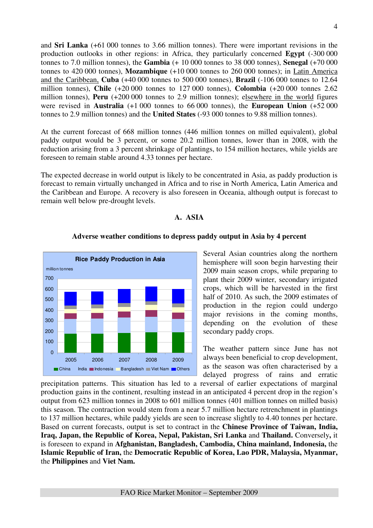and **Sri Lanka** (+61 000 tonnes to 3.66 million tonnes). There were important revisions in the production outlooks in other regions: in Africa, they particularly concerned **Egypt** (-300 000 tonnes to 7.0 million tonnes), the **Gambia** (+ 10 000 tonnes to 38 000 tonnes), **Senegal** (+70 000 tonnes to 420 000 tonnes), **Mozambique** (+10 000 tonnes to 260 000 tonnes); in Latin America and the Caribbean, **Cuba** (+40 000 tonnes to 500 000 tonnes), **Brazil** (-106 000 tonnes to 12.64 million tonnes), **Chile** (+20 000 tonnes to 127 000 tonnes), **Colombia** (+20 000 tonnes 2.62 million tonnes), **Peru** (+200 000 tonnes to 2.9 million tonnes); elsewhere in the world figures were revised in **Australia** (+1 000 tonnes to 66 000 tonnes), the **European Union** (+52 000 tonnes to 2.9 million tonnes) and the **United States** (-93 000 tonnes to 9.88 million tonnes).

At the current forecast of 668 million tonnes (446 million tonnes on milled equivalent), global paddy output would be 3 percent, or some 20.2 million tonnes, lower than in 2008, with the reduction arising from a 3 percent shrinkage of plantings, to 154 million hectares, while yields are foreseen to remain stable around 4.33 tonnes per hectare.

The expected decrease in world output is likely to be concentrated in Asia, as paddy production is forecast to remain virtually unchanged in Africa and to rise in North America, Latin America and the Caribbean and Europe. A recovery is also foreseen in Oceania, although output is forecast to remain well below pre-drought levels.

### **A. ASIA**



## **Adverse weather conditions to depress paddy output in Asia by 4 percent**

Several Asian countries along the northern hemisphere will soon begin harvesting their 2009 main season crops, while preparing to plant their 2009 winter, secondary irrigated crops, which will be harvested in the first half of 2010. As such, the 2009 estimates of production in the region could undergo major revisions in the coming months, depending on the evolution of these secondary paddy crops.

The weather pattern since June has not always been beneficial to crop development, as the season was often characterised by a delayed progress of rains and erratic

precipitation patterns. This situation has led to a reversal of earlier expectations of marginal production gains in the continent, resulting instead in an anticipated 4 percent drop in the region's output from 623 million tonnes in 2008 to 601 million tonnes (401 million tonnes on milled basis) this season. The contraction would stem from a near 5.7 million hectare retrenchment in plantings to 137 million hectares, while paddy yields are seen to increase slightly to 4.40 tonnes per hectare. Based on current forecasts, output is set to contract in the **Chinese Province of Taiwan, India, Iraq, Japan, the Republic of Korea, Nepal, Pakistan, Sri Lanka** and **Thailand.** Conversely**,** it is foreseen to expand in **Afghanistan, Bangladesh, Cambodia, China mainland, Indonesia,** the **Islamic Republic of Iran,** the **Democratic Republic of Korea, Lao PDR, Malaysia, Myanmar,**  the **Philippines** and **Viet Nam.**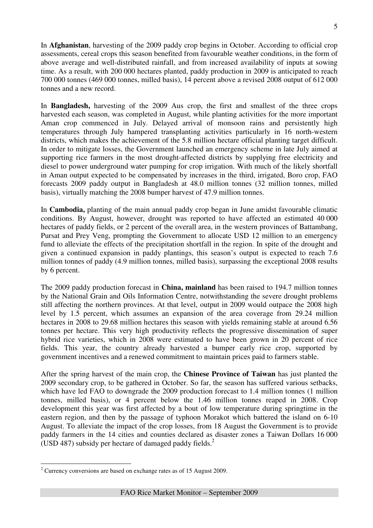In **Afghanistan**, harvesting of the 2009 paddy crop begins in October. According to official crop assessments, cereal crops this season benefited from favourable weather conditions, in the form of above average and well-distributed rainfall, and from increased availability of inputs at sowing time. As a result, with 200 000 hectares planted, paddy production in 2009 is anticipated to reach 700 000 tonnes (469 000 tonnes, milled basis), 14 percent above a revised 2008 output of 612 000 tonnes and a new record.

In **Bangladesh,** harvesting of the 2009 Aus crop, the first and smallest of the three crops harvested each season, was completed in August, while planting activities for the more important Aman crop commenced in July. Delayed arrival of monsoon rains and persistently high temperatures through July hampered transplanting activities particularly in 16 north-western districts, which makes the achievement of the 5.8 million hectare official planting target difficult. In order to mitigate losses, the Government launched an emergency scheme in late July aimed at supporting rice farmers in the most drought-affected districts by supplying free electricity and diesel to power underground water pumping for crop irrigation. With much of the likely shortfall in Aman output expected to be compensated by increases in the third, irrigated, Boro crop, FAO forecasts 2009 paddy output in Bangladesh at 48.0 million tonnes (32 million tonnes, milled basis), virtually matching the 2008 bumper harvest of 47.9 million tonnes.

In **Cambodia,** planting of the main annual paddy crop began in June amidst favourable climatic conditions. By August, however, drought was reported to have affected an estimated 40 000 hectares of paddy fields, or 2 percent of the overall area, in the western provinces of Battambang, Pursat and Prey Veng, prompting the Government to allocate USD 12 million to an emergency fund to alleviate the effects of the precipitation shortfall in the region. In spite of the drought and given a continued expansion in paddy plantings, this season's output is expected to reach 7.6 million tonnes of paddy (4.9 million tonnes, milled basis), surpassing the exceptional 2008 results by 6 percent.

The 2009 paddy production forecast in **China, mainland** has been raised to 194.7 million tonnes by the National Grain and Oils Information Centre, notwithstanding the severe drought problems still affecting the northern provinces. At that level, output in 2009 would outpace the 2008 high level by 1.5 percent, which assumes an expansion of the area coverage from 29.24 million hectares in 2008 to 29.68 million hectares this season with yields remaining stable at around 6.56 tonnes per hectare. This very high productivity reflects the progressive dissemination of super hybrid rice varieties, which in 2008 were estimated to have been grown in 20 percent of rice fields. This year, the country already harvested a bumper early rice crop, supported by government incentives and a renewed commitment to maintain prices paid to farmers stable.

After the spring harvest of the main crop, the **Chinese Province of Taiwan** has just planted the 2009 secondary crop, to be gathered in October. So far, the season has suffered various setbacks, which have led FAO to downgrade the 2009 production forecast to 1.4 million tonnes (1 million tonnes, milled basis), or 4 percent below the 1.46 million tonnes reaped in 2008. Crop development this year was first affected by a bout of low temperature during springtime in the eastern region, and then by the passage of typhoon Morakot which battered the island on 6-10 August. To alleviate the impact of the crop losses, from 18 August the Government is to provide paddy farmers in the 14 cities and counties declared as disaster zones a Taiwan Dollars 16 000 (USD 487) subsidy per hectare of damaged paddy fields. $2$ 

 $\overline{a}$  $2^2$  Currency conversions are based on exchange rates as of 15 August 2009.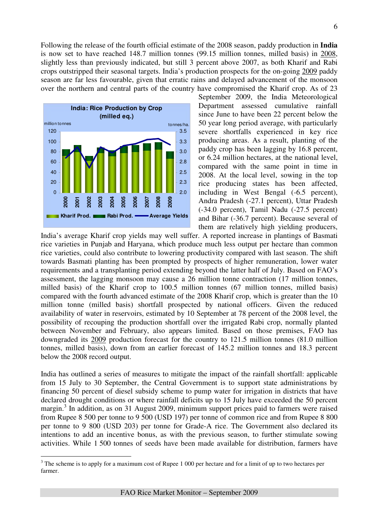Following the release of the fourth official estimate of the 2008 season, paddy production in **India** is now set to have reached 148.7 million tonnes (99.15 million tonnes, milled basis) in 2008, slightly less than previously indicated, but still 3 percent above 2007, as both Kharif and Rabi crops outstripped their seasonal targets. India's production prospects for the on-going 2009 paddy season are far less favourable, given that erratic rains and delayed advancement of the monsoon over the northern and central parts of the country have compromised the Kharif crop. As of 23



 $\overline{a}$ 

September 2009, the India Meteorological Department assessed cumulative rainfall since June to have been 22 percent below the 50 year long period average, with particularly severe shortfalls experienced in key rice producing areas. As a result, planting of the paddy crop has been lagging by 16.8 percent, or 6.24 million hectares, at the national level, compared with the same point in time in 2008. At the local level, sowing in the top rice producing states has been affected, including in West Bengal (-6.5 percent), Andra Pradesh (-27.1 percent), Uttar Pradesh (-34.0 percent), Tamil Nadu (-27.5 percent) and Bihar (-36.7 percent). Because several of them are relatively high yielding producers,

India's average Kharif crop yields may well suffer. A reported increase in plantings of Basmati rice varieties in Punjab and Haryana, which produce much less output per hectare than common rice varieties, could also contribute to lowering productivity compared with last season. The shift towards Basmati planting has been prompted by prospects of higher remuneration, lower water requirements and a transplanting period extending beyond the latter half of July. Based on FAO's assessment, the lagging monsoon may cause a 26 million tonne contraction (17 million tonnes, milled basis) of the Kharif crop to 100.5 million tonnes (67 million tonnes, milled basis) compared with the fourth advanced estimate of the 2008 Kharif crop, which is greater than the 10 million tonne (milled basis) shortfall prospected by national officers. Given the reduced availability of water in reservoirs, estimated by 10 September at 78 percent of the 2008 level, the possibility of recouping the production shortfall over the irrigated Rabi crop, normally planted between November and February, also appears limited. Based on those premises, FAO has downgraded its 2009 production forecast for the country to 121.5 million tonnes (81.0 million tonnes, milled basis), down from an earlier forecast of 145.2 million tonnes and 18.3 percent below the 2008 record output.

India has outlined a series of measures to mitigate the impact of the rainfall shortfall: applicable from 15 July to 30 September, the Central Government is to support state administrations by financing 50 percent of diesel subsidy scheme to pump water for irrigation in districts that have declared drought conditions or where rainfall deficits up to 15 July have exceeded the 50 percent margin.<sup>3</sup> In addition, as on 31 August 2009, minimum support prices paid to farmers were raised from Rupee 8 500 per tonne to 9 500 (USD 197) per tonne of common rice and from Rupee 8 800 per tonne to 9 800 (USD 203) per tonne for Grade-A rice. The Government also declared its intentions to add an incentive bonus, as with the previous season, to further stimulate sowing activities. While 1 500 tonnes of seeds have been made available for distribution, farmers have

 $3$  The scheme is to apply for a maximum cost of Rupee 1 000 per hectare and for a limit of up to two hectares per farmer.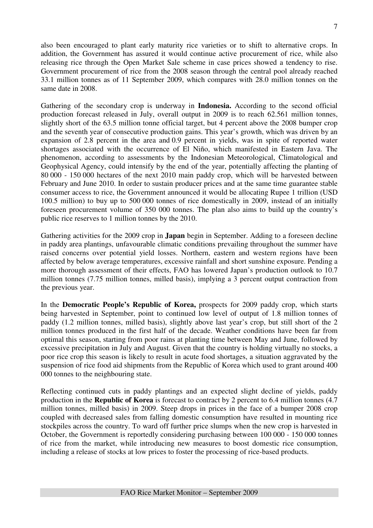also been encouraged to plant early maturity rice varieties or to shift to alternative crops. In addition, the Government has assured it would continue active procurement of rice, while also releasing rice through the Open Market Sale scheme in case prices showed a tendency to rise. Government procurement of rice from the 2008 season through the central pool already reached 33.1 million tonnes as of 11 September 2009, which compares with 28.0 million tonnes on the same date in 2008.

Gathering of the secondary crop is underway in **Indonesia.** According to the second official production forecast released in July, overall output in 2009 is to reach 62.561 million tonnes, slightly short of the 63.5 million tonne official target, but 4 percent above the 2008 bumper crop and the seventh year of consecutive production gains. This year's growth, which was driven by an expansion of 2.8 percent in the area and 0.9 percent in yields, was in spite of reported water shortages associated with the occurrence of El Niño, which manifested in Eastern Java. The phenomenon, according to assessments by the Indonesian Meteorological, Climatological and Geophysical Agency, could intensify by the end of the year, potentially affecting the planting of 80 000 - 150 000 hectares of the next 2010 main paddy crop, which will be harvested between February and June 2010. In order to sustain producer prices and at the same time guarantee stable consumer access to rice, the Government announced it would be allocating Rupee 1 trillion (USD 100.5 million) to buy up to 500 000 tonnes of rice domestically in 2009, instead of an initially foreseen procurement volume of 350 000 tonnes. The plan also aims to build up the country's public rice reserves to 1 million tonnes by the 2010.

Gathering activities for the 2009 crop in **Japan** begin in September. Adding to a foreseen decline in paddy area plantings, unfavourable climatic conditions prevailing throughout the summer have raised concerns over potential yield losses. Northern, eastern and western regions have been affected by below average temperatures, excessive rainfall and short sunshine exposure. Pending a more thorough assessment of their effects, FAO has lowered Japan's production outlook to 10.7 million tonnes (7.75 million tonnes, milled basis), implying a 3 percent output contraction from the previous year.

In the **Democratic People's Republic of Korea,** prospects for 2009 paddy crop, which starts being harvested in September, point to continued low level of output of 1.8 million tonnes of paddy (1.2 million tonnes, milled basis), slightly above last year's crop, but still short of the 2 million tonnes produced in the first half of the decade. Weather conditions have been far from optimal this season, starting from poor rains at planting time between May and June, followed by excessive precipitation in July and August. Given that the country is holding virtually no stocks, a poor rice crop this season is likely to result in acute food shortages, a situation aggravated by the suspension of rice food aid shipments from the Republic of Korea which used to grant around 400 000 tonnes to the neighbouring state.

Reflecting continued cuts in paddy plantings and an expected slight decline of yields, paddy production in the **Republic of Korea** is forecast to contract by 2 percent to 6.4 million tonnes (4.7 million tonnes, milled basis) in 2009. Steep drops in prices in the face of a bumper 2008 crop coupled with decreased sales from falling domestic consumption have resulted in mounting rice stockpiles across the country. To ward off further price slumps when the new crop is harvested in October, the Government is reportedly considering purchasing between 100 000 - 150 000 tonnes of rice from the market, while introducing new measures to boost domestic rice consumption, including a release of stocks at low prices to foster the processing of rice-based products.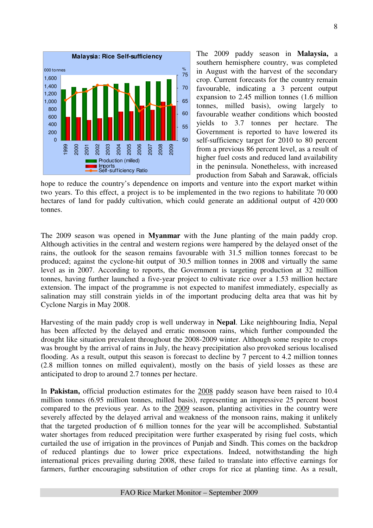

The 2009 paddy season in **Malaysia,** a southern hemisphere country, was completed in August with the harvest of the secondary crop. Current forecasts for the country remain favourable, indicating a 3 percent output expansion to 2.45 million tonnes (1.6 million tonnes, milled basis), owing largely to favourable weather conditions which boosted yields to 3.7 tonnes per hectare. The Government is reported to have lowered its self-sufficiency target for 2010 to 80 percent from a previous 86 percent level, as a result of higher fuel costs and reduced land availability in the peninsula. Nonetheless, with increased production from Sabah and Sarawak, officials

hope to reduce the country's dependence on imports and venture into the export market within two years. To this effect, a project is to be implemented in the two regions to habilitate 70 000 hectares of land for paddy cultivation, which could generate an additional output of 420 000 tonnes.

The 2009 season was opened in **Myanmar** with the June planting of the main paddy crop. Although activities in the central and western regions were hampered by the delayed onset of the rains, the outlook for the season remains favourable with 31.5 million tonnes forecast to be produced; against the cyclone-hit output of 30.5 million tonnes in 2008 and virtually the same level as in 2007. According to reports, the Government is targeting production at 32 million tonnes, having further launched a five-year project to cultivate rice over a 1.53 million hectare extension. The impact of the programme is not expected to manifest immediately, especially as salination may still constrain yields in of the important producing delta area that was hit by Cyclone Nargis in May 2008.

Harvesting of the main paddy crop is well underway in **Nepal**. Like neighbouring India, Nepal has been affected by the delayed and erratic monsoon rains, which further compounded the drought like situation prevalent throughout the 2008-2009 winter. Although some respite to crops was brought by the arrival of rains in July, the heavy precipitation also provoked serious localised flooding. As a result, output this season is forecast to decline by 7 percent to 4.2 million tonnes (2.8 million tonnes on milled equivalent), mostly on the basis of yield losses as these are anticipated to drop to around 2.7 tonnes per hectare.

In **Pakistan,** official production estimates for the 2008 paddy season have been raised to 10.4 million tonnes (6.95 million tonnes, milled basis), representing an impressive 25 percent boost compared to the previous year. As to the 2009 season, planting activities in the country were severely affected by the delayed arrival and weakness of the monsoon rains, making it unlikely that the targeted production of 6 million tonnes for the year will be accomplished. Substantial water shortages from reduced precipitation were further exasperated by rising fuel costs, which curtailed the use of irrigation in the provinces of Punjab and Sindh. This comes on the backdrop of reduced plantings due to lower price expectations. Indeed, notwithstanding the high international prices prevailing during 2008, these failed to translate into effective earnings for farmers, further encouraging substitution of other crops for rice at planting time. As a result,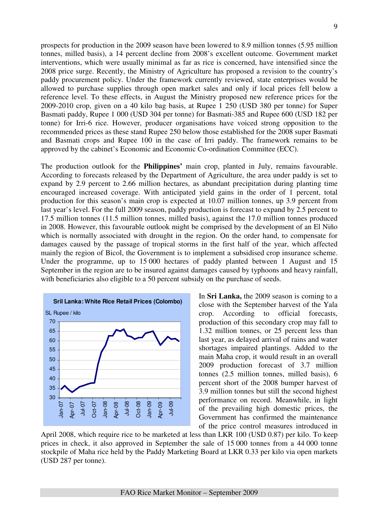prospects for production in the 2009 season have been lowered to 8.9 million tonnes (5.95 million tonnes, milled basis), a 14 percent decline from 2008's excellent outcome. Government market interventions, which were usually minimal as far as rice is concerned, have intensified since the 2008 price surge. Recently, the Ministry of Agriculture has proposed a revision to the country's paddy procurement policy. Under the framework currently reviewed, state enterprises would be allowed to purchase supplies through open market sales and only if local prices fell below a reference level. To these effects, in August the Ministry proposed new reference prices for the 2009-2010 crop, given on a 40 kilo bag basis, at Rupee 1 250 (USD 380 per tonne) for Super Basmati paddy, Rupee 1 000 (USD 304 per tonne) for Basmati-385 and Rupee 600 (USD 182 per tonne) for Irri-6 rice. However, producer organisations have voiced strong opposition to the recommended prices as these stand Rupee 250 below those established for the 2008 super Basmati and Basmati crops and Rupee 100 in the case of Irri paddy. The framework remains to be approved by the cabinet's Economic and Economic Co-ordination Committee (ECC).

The production outlook for the **Philippines'** main crop, planted in July, remains favourable. According to forecasts released by the Department of Agriculture, the area under paddy is set to expand by 2.9 percent to 2.66 million hectares, as abundant precipitation during planting time encouraged increased coverage. With anticipated yield gains in the order of 1 percent, total production for this season's main crop is expected at 10.07 million tonnes, up 3.9 percent from last year's level. For the full 2009 season, paddy production is forecast to expand by 2.5 percent to 17.5 million tonnes (11.5 million tonnes, milled basis), against the 17.0 million tonnes produced in 2008. However, this favourable outlook might be comprised by the development of an El Niño which is normally associated with drought in the region. On the order hand, to compensate for damages caused by the passage of tropical storms in the first half of the year, which affected mainly the region of Bicol, the Government is to implement a subsidised crop insurance scheme. Under the programme, up to 15 000 hectares of paddy planted between 1 August and 15 September in the region are to be insured against damages caused by typhoons and heavy rainfall, with beneficiaries also eligible to a 50 percent subsidy on the purchase of seeds.



In **Sri Lanka,** the 2009 season is coming to a close with the September harvest of the Yala crop. According to official forecasts, production of this secondary crop may fall to 1.32 million tonnes, or 25 percent less than last year, as delayed arrival of rains and water shortages impaired plantings. Added to the main Maha crop, it would result in an overall 2009 production forecast of 3.7 million tonnes (2.5 million tonnes, milled basis), 6 percent short of the 2008 bumper harvest of 3.9 million tonnes but still the second highest performance on record. Meanwhile, in light of the prevailing high domestic prices, the Government has confirmed the maintenance of the price control measures introduced in

April 2008, which require rice to be marketed at less than LKR 100 (USD 0.87) per kilo. To keep prices in check, it also approved in September the sale of 15 000 tonnes from a 44 000 tonne stockpile of Maha rice held by the Paddy Marketing Board at LKR 0.33 per kilo via open markets (USD 287 per tonne).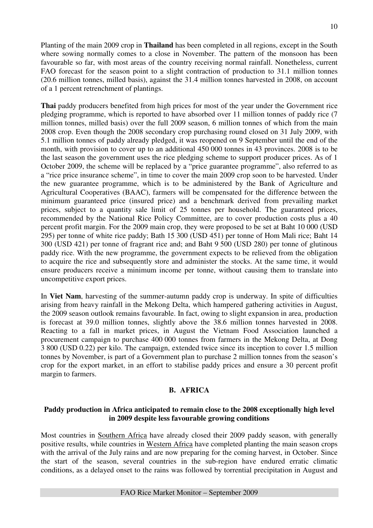Planting of the main 2009 crop in **Thailand** has been completed in all regions, except in the South where sowing normally comes to a close in November. The pattern of the monsoon has been favourable so far, with most areas of the country receiving normal rainfall. Nonetheless, current FAO forecast for the season point to a slight contraction of production to 31.1 million tonnes (20.6 million tonnes, milled basis), against the 31.4 million tonnes harvested in 2008, on account of a 1 percent retrenchment of plantings.

**Thai** paddy producers benefited from high prices for most of the year under the Government rice pledging programme, which is reported to have absorbed over 11 million tonnes of paddy rice (7 million tonnes, milled basis) over the full 2009 season, 6 million tonnes of which from the main 2008 crop. Even though the 2008 secondary crop purchasing round closed on 31 July 2009, with 5.1 million tonnes of paddy already pledged, it was reopened on 9 September until the end of the month, with provision to cover up to an additional 450 000 tonnes in 43 provinces. 2008 is to be the last season the government uses the rice pledging scheme to support producer prices. As of 1 October 2009, the scheme will be replaced by a "price guarantee programme", also referred to as a "rice price insurance scheme", in time to cover the main 2009 crop soon to be harvested. Under the new guarantee programme, which is to be administered by the Bank of Agriculture and Agricultural Cooperatives (BAAC), farmers will be compensated for the difference between the minimum guaranteed price (insured price) and a benchmark derived from prevailing market prices, subject to a quantity sale limit of 25 tonnes per household. The guaranteed prices, recommended by the National Rice Policy Committee, are to cover production costs plus a 40 percent profit margin. For the 2009 main crop, they were proposed to be set at Baht 10 000 (USD 295) per tonne of white rice paddy; Bath 15 300 (USD 451) per tonne of Hom Mali rice; Baht 14 300 (USD 421) per tonne of fragrant rice and; and Baht 9 500 (USD 280) per tonne of glutinous paddy rice. With the new programme, the government expects to be relieved from the obligation to acquire the rice and subsequently store and administer the stocks. At the same time, it would ensure producers receive a minimum income per tonne, without causing them to translate into uncompetitive export prices.

In **Viet Nam**, harvesting of the summer-autumn paddy crop is underway. In spite of difficulties arising from heavy rainfall in the Mekong Delta, which hampered gathering activities in August, the 2009 season outlook remains favourable. In fact, owing to slight expansion in area, production is forecast at 39.0 million tonnes, slightly above the 38.6 million tonnes harvested in 2008. Reacting to a fall in market prices, in August the Vietnam Food Association launched a procurement campaign to purchase 400 000 tonnes from farmers in the Mekong Delta, at Dong 3 800 (USD 0.22) per kilo. The campaign, extended twice since its inception to cover 1.5 million tonnes by November, is part of a Government plan to purchase 2 million tonnes from the season's crop for the export market, in an effort to stabilise paddy prices and ensure a 30 percent profit margin to farmers.

# **B. AFRICA**

#### **Paddy production in Africa anticipated to remain close to the 2008 exceptionally high level in 2009 despite less favourable growing conditions**

Most countries in Southern Africa have already closed their 2009 paddy season, with generally positive results, while countries in Western Africa have completed planting the main season crops with the arrival of the July rains and are now preparing for the coming harvest, in October. Since the start of the season, several countries in the sub-region have endured erratic climatic conditions, as a delayed onset to the rains was followed by torrential precipitation in August and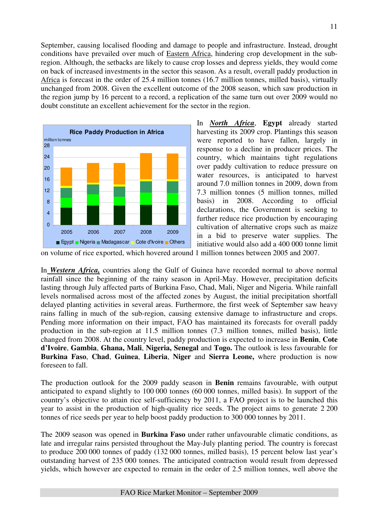September, causing localised flooding and damage to people and infrastructure. Instead, drought conditions have prevailed over much of Eastern Africa, hindering crop development in the subregion. Although, the setbacks are likely to cause crop losses and depress yields, they would come on back of increased investments in the sector this season. As a result, overall paddy production in Africa is forecast in the order of 25.4 million tonnes (16.7 million tonnes, milled basis), virtually unchanged from 2008. Given the excellent outcome of the 2008 season, which saw production in the region jump by 16 percent to a record, a replication of the same turn out over 2009 would no doubt constitute an excellent achievement for the sector in the region.



In *North Africa*, **Egypt** already started harvesting its 2009 crop. Plantings this season were reported to have fallen, largely in response to a decline in producer prices. The country, which maintains tight regulations over paddy cultivation to reduce pressure on water resources, is anticipated to harvest around 7.0 million tonnes in 2009, down from 7.3 million tonnes (5 million tonnes, milled basis) in 2008. According to official declarations, the Government is seeking to further reduce rice production by encouraging cultivation of alternative crops such as maize in a bid to preserve water supplies. The initiative would also add a 400 000 tonne limit

on volume of rice exported, which hovered around 1 million tonnes between 2005 and 2007.

In *Western Africa,* countries along the Gulf of Guinea have recorded normal to above normal rainfall since the beginning of the rainy season in April-May. However, precipitation deficits lasting through July affected parts of Burkina Faso, Chad, Mali, Niger and Nigeria. While rainfall levels normalised across most of the affected zones by August, the initial precipitation shortfall delayed planting activities in several areas. Furthermore, the first week of September saw heavy rains falling in much of the sub-region, causing extensive damage to infrastructure and crops. Pending more information on their impact, FAO has maintained its forecasts for overall paddy production in the sub-region at 11.5 million tonnes (7.3 million tonnes, milled basis), little changed from 2008. At the country level, paddy production is expected to increase in **Benin**, **Cote d'Ivoire**, **Gambia**, **Ghana, Mali**, **Nigeria, Senegal** and **Togo.** The outlook is less favourable for **Burkina Faso**, **Chad**, **Guinea**, **Liberia**, **Niger** and **Sierra Leone,** where production is now foreseen to fall.

The production outlook for the 2009 paddy season in **Benin** remains favourable, with output anticipated to expand slightly to 100 000 tonnes (60 000 tonnes, milled basis). In support of the country's objective to attain rice self-sufficiency by 2011, a FAO project is to be launched this year to assist in the production of high-quality rice seeds. The project aims to generate 2 200 tonnes of rice seeds per year to help boost paddy production to 300 000 tonnes by 2011.

The 2009 season was opened in **Burkina Faso** under rather unfavourable climatic conditions, as late and irregular rains persisted throughout the May-July planting period. The country is forecast to produce 200 000 tonnes of paddy (132 000 tonnes, milled basis), 15 percent below last year's outstanding harvest of 235 000 tonnes. The anticipated contraction would result from depressed yields, which however are expected to remain in the order of 2.5 million tonnes, well above the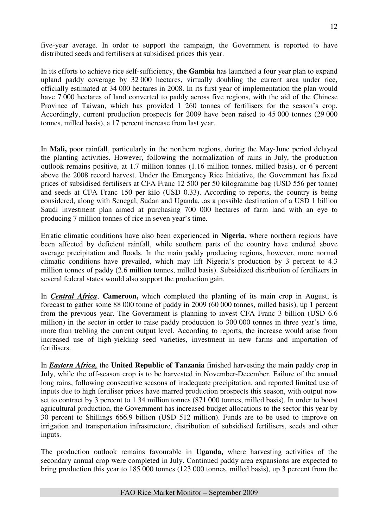five-year average. In order to support the campaign, the Government is reported to have distributed seeds and fertilisers at subsidised prices this year.

In its efforts to achieve rice self-sufficiency, **the Gambia** has launched a four year plan to expand upland paddy coverage by 32 000 hectares, virtually doubling the current area under rice, officially estimated at 34 000 hectares in 2008. In its first year of implementation the plan would have 7 000 hectares of land converted to paddy across five regions, with the aid of the Chinese Province of Taiwan, which has provided 1 260 tonnes of fertilisers for the season's crop. Accordingly, current production prospects for 2009 have been raised to 45 000 tonnes (29 000 tonnes, milled basis), a 17 percent increase from last year.

In **Mali,** poor rainfall, particularly in the northern regions, during the May-June period delayed the planting activities. However, following the normalization of rains in July, the production outlook remains positive, at 1.7 million tonnes (1.16 million tonnes, milled basis), or 6 percent above the 2008 record harvest. Under the Emergency Rice Initiative, the Government has fixed prices of subsidised fertilisers at CFA Franc 12 500 per 50 kilogramme bag (USD 556 per tonne) and seeds at CFA Franc 150 per kilo (USD 0.33). According to reports, the country is being considered, along with Senegal, Sudan and Uganda, ,as a possible destination of a USD 1 billion Saudi investment plan aimed at purchasing 700 000 hectares of farm land with an eye to producing 7 million tonnes of rice in seven year's time.

Erratic climatic conditions have also been experienced in **Nigeria,** where northern regions have been affected by deficient rainfall, while southern parts of the country have endured above average precipitation and floods. In the main paddy producing regions, however, more normal climatic conditions have prevailed, which may lift Nigeria's production by 3 percent to 4.3 million tonnes of paddy (2.6 million tonnes, milled basis). Subsidized distribution of fertilizers in several federal states would also support the production gain.

In *Central Africa*, **Cameroon,** which completed the planting of its main crop in August, is forecast to gather some 88 000 tonne of paddy in 2009 (60 000 tonnes, milled basis), up 1 percent from the previous year. The Government is planning to invest CFA Franc 3 billion (USD 6.6 million) in the sector in order to raise paddy production to 300 000 tonnes in three year's time, more than trebling the current output level. According to reports, the increase would arise from increased use of high-yielding seed varieties, investment in new farms and importation of fertilisers.

In *Eastern Africa,* the **United Republic of Tanzania** finished harvesting the main paddy crop in July, while the off-season crop is to be harvested in November-December. Failure of the annual long rains, following consecutive seasons of inadequate precipitation, and reported limited use of inputs due to high fertiliser prices have marred production prospects this season, with output now set to contract by 3 percent to 1.34 million tonnes (871 000 tonnes, milled basis). In order to boost agricultural production, the Government has increased budget allocations to the sector this year by 30 percent to Shillings 666.9 billion (USD 512 million). Funds are to be used to improve on irrigation and transportation infrastructure, distribution of subsidised fertilisers, seeds and other inputs.

The production outlook remains favourable in **Uganda,** where harvesting activities of the secondary annual crop were completed in July. Continued paddy area expansions are expected to bring production this year to 185 000 tonnes (123 000 tonnes, milled basis), up 3 percent from the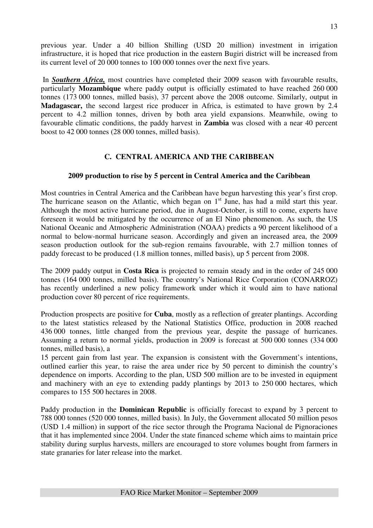previous year. Under a 40 billion Shilling (USD 20 million) investment in irrigation infrastructure, it is hoped that rice production in the eastern Bugiri district will be increased from its current level of 20 000 tonnes to 100 000 tonnes over the next five years.

 In *Southern Africa,* most countries have completed their 2009 season with favourable results, particularly **Mozambique** where paddy output is officially estimated to have reached 260 000 tonnes (173 000 tonnes, milled basis), 37 percent above the 2008 outcome. Similarly, output in **Madagascar,** the second largest rice producer in Africa, is estimated to have grown by 2.4 percent to 4.2 million tonnes, driven by both area yield expansions. Meanwhile, owing to favourable climatic conditions, the paddy harvest in **Zambia** was closed with a near 40 percent boost to 42 000 tonnes (28 000 tonnes, milled basis).

## **C. CENTRAL AMERICA AND THE CARIBBEAN**

#### **2009 production to rise by 5 percent in Central America and the Caribbean**

Most countries in Central America and the Caribbean have begun harvesting this year's first crop. The hurricane season on the Atlantic, which began on  $1<sup>st</sup>$  June, has had a mild start this year. Although the most active hurricane period, due in August-October, is still to come, experts have foreseen it would be mitigated by the occurrence of an El Nino phenomenon. As such, the US National Oceanic and Atmospheric Administration (NOAA) predicts a 90 percent likelihood of a normal to below-normal hurricane season. Accordingly and given an increased area, the 2009 season production outlook for the sub-region remains favourable, with 2.7 million tonnes of paddy forecast to be produced (1.8 million tonnes, milled basis), up 5 percent from 2008.

The 2009 paddy output in **Costa Rica** is projected to remain steady and in the order of 245 000 tonnes (164 000 tonnes, milled basis). The country's National Rice Corporation (CONARROZ) has recently underlined a new policy framework under which it would aim to have national production cover 80 percent of rice requirements.

Production prospects are positive for **Cuba**, mostly as a reflection of greater plantings. According to the latest statistics released by the National Statistics Office, production in 2008 reached 436 000 tonnes, little changed from the previous year, despite the passage of hurricanes. Assuming a return to normal yields, production in 2009 is forecast at 500 000 tonnes (334 000 tonnes, milled basis), a

15 percent gain from last year. The expansion is consistent with the Government's intentions, outlined earlier this year, to raise the area under rice by 50 percent to diminish the country's dependence on imports. According to the plan, USD 500 million are to be invested in equipment and machinery with an eye to extending paddy plantings by 2013 to 250 000 hectares, which compares to 155 500 hectares in 2008.

Paddy production in the **Dominican Republic** is officially forecast to expand by 3 percent to 788 000 tonnes (520 000 tonnes, milled basis). In July, the Government allocated 50 million pesos (USD 1.4 million) in support of the rice sector through the Programa Nacional de Pignoraciones that it has implemented since 2004. Under the state financed scheme which aims to maintain price stability during surplus harvests, millers are encouraged to store volumes bought from farmers in state granaries for later release into the market.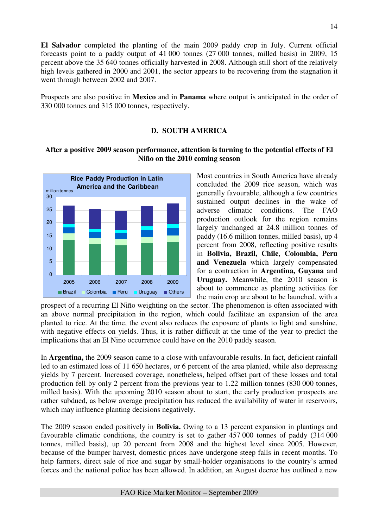**El Salvador** completed the planting of the main 2009 paddy crop in July. Current official forecasts point to a paddy output of 41 000 tonnes (27 000 tonnes, milled basis) in 2009, 15 percent above the 35 640 tonnes officially harvested in 2008. Although still short of the relatively high levels gathered in 2000 and 2001, the sector appears to be recovering from the stagnation it went through between 2002 and 2007.

Prospects are also positive in **Mexico** and in **Panama** where output is anticipated in the order of 330 000 tonnes and 315 000 tonnes, respectively.

## **D. SOUTH AMERICA**

## **After a positive 2009 season performance, attention is turning to the potential effects of El Niño on the 2010 coming season**



Most countries in South America have already concluded the 2009 rice season, which was generally favourable, although a few countries sustained output declines in the wake of adverse climatic conditions. The FAO production outlook for the region remains largely unchanged at 24.8 million tonnes of paddy (16.6 million tonnes, milled basis), up 4 percent from 2008, reflecting positive results in **Bolivia, Brazil, Chile**, **Colombia, Peru and Venezuela** which largely compensated for a contraction in **Argentina, Guyana** and **Uruguay.** Meanwhile, the 2010 season is about to commence as planting activities for the main crop are about to be launched, with a

prospect of a recurring El Niño weighting on the sector. The phenomenon is often associated with an above normal precipitation in the region, which could facilitate an expansion of the area planted to rice. At the time, the event also reduces the exposure of plants to light and sunshine, with negative effects on yields. Thus, it is rather difficult at the time of the year to predict the implications that an El Nino occurrence could have on the 2010 paddy season.

In **Argentina,** the 2009 season came to a close with unfavourable results. In fact, deficient rainfall led to an estimated loss of 11 650 hectares, or 6 percent of the area planted, while also depressing yields by 7 percent. Increased coverage, nonetheless, helped offset part of these losses and total production fell by only 2 percent from the previous year to 1.22 million tonnes (830 000 tonnes, milled basis). With the upcoming 2010 season about to start, the early production prospects are rather subdued, as below average precipitation has reduced the availability of water in reservoirs, which may influence planting decisions negatively.

The 2009 season ended positively in **Bolivia.** Owing to a 13 percent expansion in plantings and favourable climatic conditions, the country is set to gather 457 000 tonnes of paddy (314 000 tonnes, milled basis), up 20 percent from 2008 and the highest level since 2005. However, because of the bumper harvest, domestic prices have undergone steep falls in recent months. To help farmers, direct sale of rice and sugar by small-holder organisations to the country's armed forces and the national police has been allowed. In addition, an August decree has outlined a new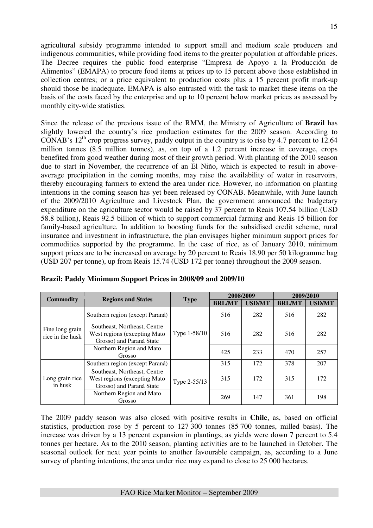agricultural subsidy programme intended to support small and medium scale producers and indigenous communities, while providing food items to the greater population at affordable prices. The Decree requires the public food enterprise "Empresa de Apoyo a la Producción de Alimentos" (EMAPA) to procure food items at prices up to 15 percent above those established in collection centres; or a price equivalent to production costs plus a 15 percent profit mark-up should those be inadequate. EMAPA is also entrusted with the task to market these items on the basis of the costs faced by the enterprise and up to 10 percent below market prices as assessed by monthly city-wide statistics.

Since the release of the previous issue of the RMM, the Ministry of Agriculture of **Brazil** has slightly lowered the country's rice production estimates for the 2009 season. According to CONAB's  $12^{th}$  crop progress survey, paddy output in the country is to rise by 4.7 percent to 12.64 million tonnes (8.5 million tonnes), as, on top of a 1.2 percent increase in coverage, crops benefited from good weather during most of their growth period. With planting of the 2010 season due to start in November, the recurrence of an El Niño, which is expected to result in aboveaverage precipitation in the coming months, may raise the availability of water in reservoirs, thereby encouraging farmers to extend the area under rice. However, no information on planting intentions in the coming season has yet been released by CONAB. Meanwhile, with June launch of the 2009/2010 Agriculture and Livestock Plan, the government announced the budgetary expenditure on the agriculture sector would be raised by 37 percent to Reais 107.54 billion (USD 58.8 billion), Reais 92.5 billion of which to support commercial farming and Reais 15 billion for family-based agriculture. In addition to boosting funds for the subsidised credit scheme, rural insurance and investment in infrastructure, the plan envisages higher minimum support prices for commodities supported by the programme. In the case of rice, as of January 2010, minimum support prices are to be increased on average by 20 percent to Reais 18.90 per 50 kilogramme bag (USD 207 per tonne), up from Reais 15.74 (USD 172 per tonne) throughout the 2009 season.

|                                     | <b>Regions and States</b>                                                                |              | 2008/2009     |               | 2009/2010     |               |  |
|-------------------------------------|------------------------------------------------------------------------------------------|--------------|---------------|---------------|---------------|---------------|--|
| <b>Commodity</b>                    |                                                                                          | <b>Type</b>  | <b>BRL/MT</b> | <b>USD/MT</b> | <b>BRL/MT</b> | <b>USD/MT</b> |  |
|                                     | Southern region (except Paraná)                                                          |              | 516           | 282           | 516           | 282           |  |
| Fine long grain<br>rice in the husk | Southeast, Northeast, Centre<br>West regions (excepting Mato<br>Grosso) and Paraná State | Type 1-58/10 | 516           | 282           | 516           | 282           |  |
|                                     | Northern Region and Mato<br>Grosso                                                       |              | 425           | 233           | 470           | 257           |  |
|                                     | Southern region (except Paraná)                                                          |              | 315           | 172           | 378           | 207           |  |
| Long grain rice<br>in husk          | Southeast, Northeast, Centre<br>West regions (excepting Mato<br>Grosso) and Paraná State | Type 2-55/13 | 315           | 172           | 315           | 172           |  |
|                                     | Northern Region and Mato<br>Grosso                                                       |              | 269           | 147           | 361           | 198           |  |

|  |  | Brazil: Paddy Minimum Support Prices in 2008/09 and 2009/10 |  |
|--|--|-------------------------------------------------------------|--|
|  |  |                                                             |  |

The 2009 paddy season was also closed with positive results in **Chile**, as, based on official statistics, production rose by 5 percent to 127 300 tonnes (85 700 tonnes, milled basis). The increase was driven by a 13 percent expansion in plantings, as yields were down 7 percent to 5.4 tonnes per hectare. As to the 2010 season, planting activities are to be launched in October. The seasonal outlook for next year points to another favourable campaign, as, according to a June survey of planting intentions, the area under rice may expand to close to 25 000 hectares.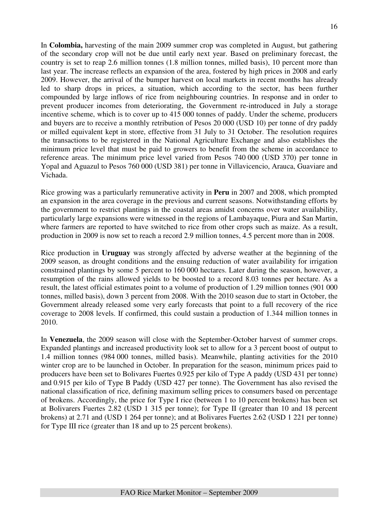In **Colombia,** harvesting of the main 2009 summer crop was completed in August, but gathering of the secondary crop will not be due until early next year. Based on preliminary forecast, the country is set to reap 2.6 million tonnes (1.8 million tonnes, milled basis), 10 percent more than last year. The increase reflects an expansion of the area, fostered by high prices in 2008 and early 2009. However, the arrival of the bumper harvest on local markets in recent months has already led to sharp drops in prices, a situation, which according to the sector, has been further compounded by large inflows of rice from neighbouring countries. In response and in order to prevent producer incomes from deteriorating, the Government re-introduced in July a storage incentive scheme, which is to cover up to 415 000 tonnes of paddy. Under the scheme, producers and buyers are to receive a monthly retribution of Pesos 20 000 (USD 10) per tonne of dry paddy or milled equivalent kept in store, effective from 31 July to 31 October. The resolution requires the transactions to be registered in the National Agriculture Exchange and also establishes the minimum price level that must be paid to growers to benefit from the scheme in accordance to reference areas. The minimum price level varied from Pesos 740 000 (USD 370) per tonne in Yopal and Aguazul to Pesos 760 000 (USD 381) per tonne in Villavicencio, Arauca, Guaviare and Vichada.

Rice growing was a particularly remunerative activity in **Peru** in 2007 and 2008, which prompted an expansion in the area coverage in the previous and current seasons. Notwithstanding efforts by the government to restrict plantings in the coastal areas amidst concerns over water availability, particularly large expansions were witnessed in the regions of Lambayaque, Piura and San Martin, where farmers are reported to have switched to rice from other crops such as maize. As a result, production in 2009 is now set to reach a record 2.9 million tonnes, 4.5 percent more than in 2008.

Rice production in **Uruguay** was strongly affected by adverse weather at the beginning of the 2009 season, as drought conditions and the ensuing reduction of water availability for irrigation constrained plantings by some 5 percent to 160 000 hectares. Later during the season, however, a resumption of the rains allowed yields to be boosted to a record 8.03 tonnes per hectare. As a result, the latest official estimates point to a volume of production of 1.29 million tonnes (901 000 tonnes, milled basis), down 3 percent from 2008. With the 2010 season due to start in October, the Government already released some very early forecasts that point to a full recovery of the rice coverage to 2008 levels. If confirmed, this could sustain a production of 1.344 million tonnes in 2010.

In **Venezuela**, the 2009 season will close with the September-October harvest of summer crops. Expanded plantings and increased productivity look set to allow for a 3 percent boost of output to 1.4 million tonnes (984 000 tonnes, milled basis). Meanwhile, planting activities for the 2010 winter crop are to be launched in October. In preparation for the season, minimum prices paid to producers have been set to Bolivares Fuertes 0.925 per kilo of Type A paddy (USD 431 per tonne) and 0.915 per kilo of Type B Paddy (USD 427 per tonne). The Government has also revised the national classification of rice, defining maximum selling prices to consumers based on percentage of brokens. Accordingly, the price for Type I rice (between 1 to 10 percent brokens) has been set at Bolivarers Fuertes 2.82 (USD 1 315 per tonne); for Type II (greater than 10 and 18 percent brokens) at 2.71 and (USD 1 264 per tonne); and at Bolivares Fuertes 2.62 (USD 1 221 per tonne) for Type III rice (greater than 18 and up to 25 percent brokens).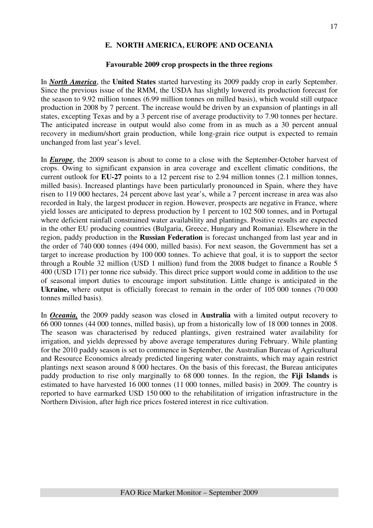## **E. NORTH AMERICA, EUROPE AND OCEANIA**

#### **Favourable 2009 crop prospects in the three regions**

In *North America*, the **United States** started harvesting its 2009 paddy crop in early September. Since the previous issue of the RMM, the USDA has slightly lowered its production forecast for the season to 9.92 million tonnes (6.99 million tonnes on milled basis), which would still outpace production in 2008 by 7 percent. The increase would be driven by an expansion of plantings in all states, excepting Texas and by a 3 percent rise of average productivity to 7.90 tonnes per hectare. The anticipated increase in output would also come from in as much as a 30 percent annual recovery in medium/short grain production, while long-grain rice output is expected to remain unchanged from last year's level.

In *Europe*, the 2009 season is about to come to a close with the September-October harvest of crops. Owing to significant expansion in area coverage and excellent climatic conditions, the current outlook for **EU-27** points to a 12 percent rise to 2.94 million tonnes (2.1 million tonnes, milled basis). Increased plantings have been particularly pronounced in Spain, where they have risen to 119 000 hectares, 24 percent above last year's, while a 7 percent increase in area was also recorded in Italy, the largest producer in region. However, prospects are negative in France, where yield losses are anticipated to depress production by 1 percent to 102 500 tonnes, and in Portugal where deficient rainfall constrained water availability and plantings. Positive results are expected in the other EU producing countries (Bulgaria, Greece, Hungary and Romania). Elsewhere in the region, paddy production in the **Russian Federation** is forecast unchanged from last year and in the order of 740 000 tonnes (494 000, milled basis). For next season, the Government has set a target to increase production by 100 000 tonnes. To achieve that goal, it is to support the sector through a Rouble 32 million (USD 1 million) fund from the 2008 budget to finance a Rouble 5 400 (USD 171) per tonne rice subsidy. This direct price support would come in addition to the use of seasonal import duties to encourage import substitution. Little change is anticipated in the Ukraine, where output is officially forecast to remain in the order of 105 000 tonnes (70 000 tonnes milled basis).

In *Oceania,* the 2009 paddy season was closed in **Australia** with a limited output recovery to 66 000 tonnes (44 000 tonnes, milled basis), up from a historically low of 18 000 tonnes in 2008. The season was characterised by reduced plantings, given restrained water availability for irrigation, and yields depressed by above average temperatures during February. While planting for the 2010 paddy season is set to commence in September, the Australian Bureau of Agricultural and Resource Economics already predicted lingering water constraints, which may again restrict plantings next season around 8 000 hectares. On the basis of this forecast, the Bureau anticipates paddy production to rise only marginally to 68 000 tonnes. In the region, the **Fiji Islands** is estimated to have harvested 16 000 tonnes (11 000 tonnes, milled basis) in 2009. The country is reported to have earmarked USD 150 000 to the rehabilitation of irrigation infrastructure in the Northern Division, after high rice prices fostered interest in rice cultivation.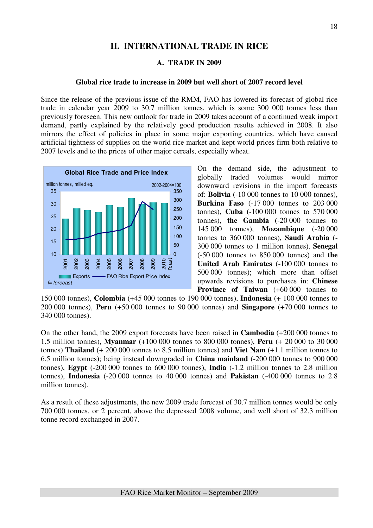# **II. INTERNATIONAL TRADE IN RICE**

#### **A. TRADE IN 2009**

#### **Global rice trade to increase in 2009 but well short of 2007 record level**

Since the release of the previous issue of the RMM, FAO has lowered its forecast of global rice trade in calendar year 2009 to 30.7 million tonnes, which is some 300 000 tonnes less than previously foreseen. This new outlook for trade in 2009 takes account of a continued weak import demand, partly explained by the relatively good production results achieved in 2008. It also mirrors the effect of policies in place in some major exporting countries, which have caused artificial tightness of supplies on the world rice market and kept world prices firm both relative to 2007 levels and to the prices of other major cereals, especially wheat.



On the demand side, the adjustment to globally traded volumes would mirror downward revisions in the import forecasts of: **Bolivia** (-10 000 tonnes to 10 000 tonnes), **Burkina Faso** (-17 000 tonnes to 203 000 tonnes), **Cuba** (-100 000 tonnes to 570 000 tonnes), **the Gambia** (-20 000 tonnes to 145 000 tonnes), **Mozambique** (-20 000 tonnes to 360 000 tonnes), **Saudi Arabia** (- 300 000 tonnes to 1 million tonnes), **Senegal** (-50 000 tonnes to 850 000 tonnes) and **the United Arab Emirates** (-100 000 tonnes to 500 000 tonnes); which more than offset upwards revisions to purchases in: **Chinese Province of Taiwan** (+60 000 tonnes to

150 000 tonnes), **Colombia** (+45 000 tonnes to 190 000 tonnes), **Indonesia** (+ 100 000 tonnes to 200 000 tonnes), **Peru** (+50 000 tonnes to 90 000 tonnes) and **Singapore** (+70 000 tonnes to 340 000 tonnes).

On the other hand, the 2009 export forecasts have been raised in **Cambodia** (+200 000 tonnes to 1.5 million tonnes), **Myanmar** (+100 000 tonnes to 800 000 tonnes), **Peru** (+ 20 000 to 30 000 tonnes) **Thailand** (+ 200 000 tonnes to 8.5 million tonnes) and **Viet Nam** (+1.1 million tonnes to 6.5 million tonnes); being instead downgraded in **China mainland** (-200 000 tonnes to 900 000 tonnes), **Egypt** (-200 000 tonnes to 600 000 tonnes), **India** (-1.2 million tonnes to 2.8 million tonnes), **Indonesia** (-20 000 tonnes to 40 000 tonnes) and **Pakistan** (-400 000 tonnes to 2.8 million tonnes).

As a result of these adjustments, the new 2009 trade forecast of 30.7 million tonnes would be only 700 000 tonnes, or 2 percent, above the depressed 2008 volume, and well short of 32.3 million tonne record exchanged in 2007.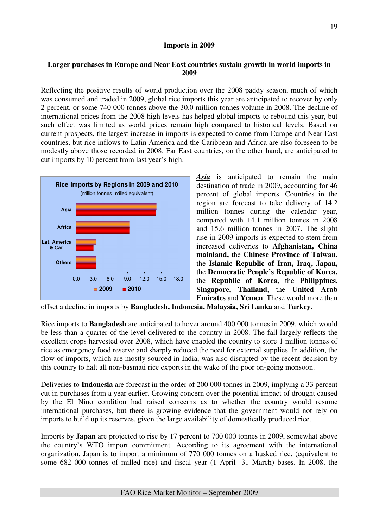## **Imports in 2009**

## **Larger purchases in Europe and Near East countries sustain growth in world imports in 2009**

Reflecting the positive results of world production over the 2008 paddy season, much of which was consumed and traded in 2009, global rice imports this year are anticipated to recover by only 2 percent, or some 740 000 tonnes above the 30.0 million tonnes volume in 2008. The decline of international prices from the 2008 high levels has helped global imports to rebound this year, but such effect was limited as world prices remain high compared to historical levels. Based on current prospects, the largest increase in imports is expected to come from Europe and Near East countries, but rice inflows to Latin America and the Caribbean and Africa are also foreseen to be modestly above those recorded in 2008. Far East countries, on the other hand, are anticipated to cut imports by 10 percent from last year's high.



*Asia* is anticipated to remain the main destination of trade in 2009, accounting for 46 percent of global imports. Countries in the region are forecast to take delivery of 14.2 million tonnes during the calendar year, compared with 14.1 million tonnes in 2008 and 15.6 million tonnes in 2007. The slight rise in 2009 imports is expected to stem from increased deliveries to **Afghanistan, China mainland,** the **Chinese Province of Taiwan,**  the **Islamic Republic of Iran, Iraq, Japan,**  the **Democratic People's Republic of Korea,**  the **Republic of Korea,** the **Philippines, Singapore, Thailand,** the **United Arab Emirates** and **Yemen**. These would more than

offset a decline in imports by **Bangladesh, Indonesia, Malaysia, Sri Lanka** and **Turkey.**

Rice imports to **Bangladesh** are anticipated to hover around 400 000 tonnes in 2009, which would be less than a quarter of the level delivered to the country in 2008. The fall largely reflects the excellent crops harvested over 2008, which have enabled the country to store 1 million tonnes of rice as emergency food reserve and sharply reduced the need for external supplies. In addition, the flow of imports, which are mostly sourced in India, was also disrupted by the recent decision by this country to halt all non-basmati rice exports in the wake of the poor on-going monsoon.

Deliveries to **Indonesia** are forecast in the order of 200 000 tonnes in 2009, implying a 33 percent cut in purchases from a year earlier. Growing concern over the potential impact of drought caused by the El Nino condition had raised concerns as to whether the country would resume international purchases, but there is growing evidence that the government would not rely on imports to build up its reserves, given the large availability of domestically produced rice.

Imports by **Japan** are projected to rise by 17 percent to 700 000 tonnes in 2009, somewhat above the country's WTO import commitment. According to its agreement with the international organization, Japan is to import a minimum of 770 000 tonnes on a husked rice, (equivalent to some 682 000 tonnes of milled rice) and fiscal year (1 April- 31 March) bases. In 2008, the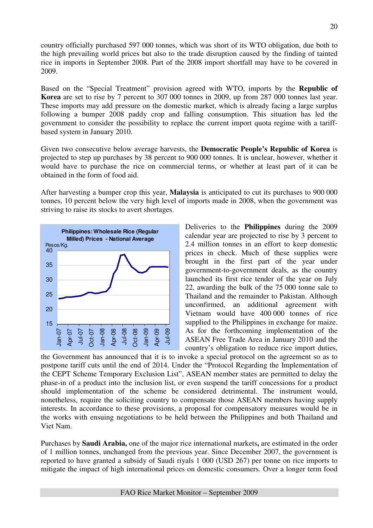country officially purchased 597 000 tonnes, which was short of its WTO obligation, due both to the high prevailing world prices but also to the trade disruption caused by the finding of tainted rice in imports in September 2008. Part of the 2008 import shortfall may have to be covered in 2009.

Based on the "Special Treatment" provision agreed with WTO, imports by the **Republic of Korea** are set to rise by 7 percent to 307 000 tonnes in 2009, up from 287 000 tonnes last year. These imports may add pressure on the domestic market, which is already facing a large surplus following a bumper 2008 paddy crop and falling consumption. This situation has led the government to consider the possibility to replace the current import quota regime with a tariffbased system in January 2010.

Given two consecutive below average harvests, the **Democratic People's Republic of Korea** is projected to step up purchases by 38 percent to 900 000 tonnes. It is unclear, however, whether it would have to purchase the rice on commercial terms, or whether at least part of it can be obtained in the form of food aid.

After harvesting a bumper crop this year, **Malaysia** is anticipated to cut its purchases to 900 000 tonnes, 10 percent below the very high level of imports made in 2008, when the government was striving to raise its stocks to avert shortages.



Deliveries to the **Philippines** during the 2009 calendar year are projected to rise by 3 percent to 2.4 million tonnes in an effort to keep domestic prices in check. Much of these supplies were brought in the first part of the year under government-to-government deals, as the country launched its first rice tender of the year on July 22, awarding the bulk of the 75 000 tonne sale to Thailand and the remainder to Pakistan. Although unconfirmed, an additional agreement with Vietnam would have 400 000 tonnes of rice supplied to the Philippines in exchange for maize. As for the forthcoming implementation of the ASEAN Free Trade Area in January 2010 and the country's obligation to reduce rice import duties,

the Government has announced that it is to invoke a special protocol on the agreement so as to postpone tariff cuts until the end of 2014. Under the "Protocol Regarding the Implementation of the CEPT Scheme Temporary Exclusion List", ASEAN member states are permitted to delay the phase-in of a product into the inclusion list, or even suspend the tariff concessions for a product should implementation of the scheme be considered detrimental. The instrument would, nonetheless, require the soliciting country to compensate those ASEAN members having supply interests. In accordance to these provisions, a proposal for compensatory measures would be in the works with ensuing negotiations to be held between the Philippines and both Thailand and Viet Nam.

Purchases by **Saudi Arabia,** one of the major rice international markets**,** are estimated in the order of 1 million tonnes, unchanged from the previous year. Since December 2007, the government is reported to have granted a subsidy of Saudi riyals 1 000 (USD 267) per tonne on rice imports to mitigate the impact of high international prices on domestic consumers. Over a longer term food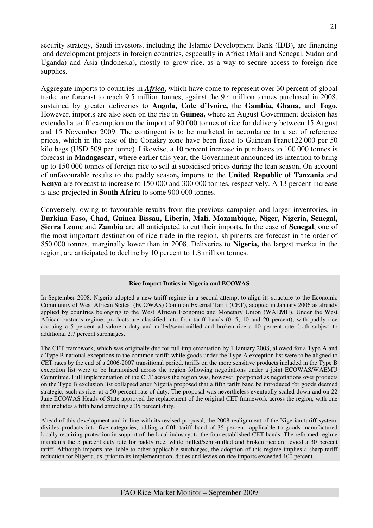security strategy, Saudi investors, including the Islamic Development Bank (IDB), are financing land development projects in foreign countries, especially in Africa (Mali and Senegal, Sudan and Uganda) and Asia (Indonesia), mostly to grow rice, as a way to secure access to foreign rice supplies.

Aggregate imports to countries in *Africa*, which have come to represent over 30 percent of global trade, are forecast to reach 9.5 million tonnes, against the 9.4 million tonnes purchased in 2008, sustained by greater deliveries to **Angola, Cote d'Ivoire,** the **Gambia, Ghana,** and **Togo**. However, imports are also seen on the rise in **Guinea,** where an August Government decision has extended a tariff exemption on the import of 90 000 tonnes of rice for delivery between 15 August and 15 November 2009. The contingent is to be marketed in accordance to a set of reference prices, which in the case of the Conakry zone have been fixed to Guinean Franc122 000 per 50 kilo bags (USD 509 per tonne). Likewise, a 10 percent increase in purchases to 100 000 tonnes is forecast in **Madagascar,** where earlier this year, the Government announced its intention to bring up to 150 000 tonnes of foreign rice to sell at subsidised prices during the lean season. On account of unfavourable results to the paddy season**,** imports to the **United Republic of Tanzania** and **Kenya** are forecast to increase to 150 000 and 300 000 tonnes, respectively. A 13 percent increase is also projected in **South Africa** to some 900 000 tonnes.

Conversely, owing to favourable results from the previous campaign and larger inventories, in **Burkina Faso, Chad, Guinea Bissau, Liberia, Mali, Mozambique**, **Niger, Nigeria, Senegal, Sierra Leone** and **Zambia** are all anticipated to cut their imports**.** In the case of **Senegal**, one of the most important destination of rice trade in the region, shipments are forecast in the order of 850 000 tonnes, marginally lower than in 2008. Deliveries to **Nigeria,** the largest market in the region, are anticipated to decline by 10 percent to 1.8 million tonnes.

#### **Rice Import Duties in Nigeria and ECOWAS**

In September 2008, Nigeria adopted a new tariff regime in a second attempt to align its structure to the Economic Community of West African States' (ECOWAS) Common External Tariff (CET), adopted in January 2006 as already applied by countries belonging to the West African Economic and Monetary Union (WAEMU). Under the West African customs regime, products are classified into four tariff bands (0, 5, 10 and 20 percent), with paddy rice accruing a 5 percent ad-valorem duty and milled/semi-milled and broken rice a 10 percent rate, both subject to additional 2.7 percent surcharges.

The CET framework, which was originally due for full implementation by 1 January 2008, allowed for a Type A and a Type B national exceptions to the common tariff: while goods under the Type A exception list were to be aligned to CET rates by the end of a 2006-2007 transitional period, tariffs on the more sensitive products included in the Type B exception list were to be harmonised across the region following negotiations under a joint ECOWAS/WAEMU Committee. Full implementation of the CET across the region was, however, postponed as negotiations over products on the Type B exclusion list collapsed after Nigeria proposed that a fifth tariff band be introduced for goods deemed strategic, such as rice, at a 50 percent rate of duty. The proposal was nevertheless eventually scaled down and on 22 June ECOWAS Heads of State approved the replacement of the original CET framework across the region, with one that includes a fifth band attracting a 35 percent duty.

Ahead of this development and in line with its revised proposal, the 2008 realignment of the Nigerian tariff system, divides products into five categories, adding a fifth tariff band of 35 percent, applicable to goods manufactured locally requiring protection in support of the local industry, to the four established CET bands. The reformed regime maintains the 5 percent duty rate for paddy rice, while milled/semi-milled and broken rice are levied a 30 percent tariff. Although imports are liable to other applicable surcharges, the adoption of this regime implies a sharp tariff reduction for Nigeria, as, prior to its implementation, duties and levies on rice imports exceeded 100 percent.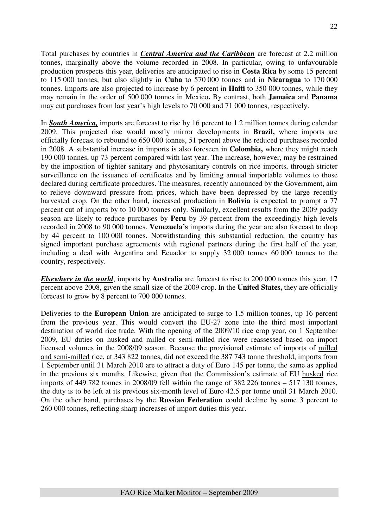Total purchases by countries in *Central America and the Caribbean* are forecast at 2.2 million tonnes, marginally above the volume recorded in 2008. In particular, owing to unfavourable production prospects this year, deliveries are anticipated to rise in **Costa Rica** by some 15 percent to 115 000 tonnes, but also slightly in **Cuba** to 570 000 tonnes and in **Nicaragua** to 170 000 tonnes. Imports are also projected to increase by 6 percent in **Haiti** to 350 000 tonnes, while they may remain in the order of 500 000 tonnes in Mexico**.** By contrast, both **Jamaica** and **Panama** may cut purchases from last year's high levels to 70 000 and 71 000 tonnes, respectively.

In *South America,* imports are forecast to rise by 16 percent to 1.2 million tonnes during calendar 2009. This projected rise would mostly mirror developments in **Brazil,** where imports are officially forecast to rebound to 650 000 tonnes, 51 percent above the reduced purchases recorded in 2008. A substantial increase in imports is also foreseen in **Colombia,** where they might reach 190 000 tonnes, up 73 percent compared with last year. The increase, however, may be restrained by the imposition of tighter sanitary and phytosanitary controls on rice imports, through stricter surveillance on the issuance of certificates and by limiting annual importable volumes to those declared during certificate procedures. The measures, recently announced by the Government, aim to relieve downward pressure from prices, which have been depressed by the large recently harvested crop. On the other hand, increased production in **Bolivia** is expected to prompt a 77 percent cut of imports by to 10 000 tonnes only. Similarly, excellent results from the 2009 paddy season are likely to reduce purchases by **Peru** by 39 percent from the exceedingly high levels recorded in 2008 to 90 000 tonnes. **Venezuela's** imports during the year are also forecast to drop by 44 percent to 100 000 tonnes. Notwithstanding this substantial reduction, the country has signed important purchase agreements with regional partners during the first half of the year, including a deal with Argentina and Ecuador to supply 32 000 tonnes 60 000 tonnes to the country, respectively.

*Elsewhere in the world*, imports by **Australia** are forecast to rise to 200 000 tonnes this year, 17 percent above 2008, given the small size of the 2009 crop. In the **United States,** they are officially forecast to grow by 8 percent to 700 000 tonnes.

Deliveries to the **European Union** are anticipated to surge to 1.5 million tonnes, up 16 percent from the previous year. This would convert the EU-27 zone into the third most important destination of world rice trade. With the opening of the 2009/10 rice crop year, on 1 September 2009, EU duties on husked and milled or semi-milled rice were reassessed based on import licensed volumes in the 2008/09 season. Because the provisional estimate of imports of milled and semi-milled rice, at 343 822 tonnes, did not exceed the 387 743 tonne threshold, imports from 1 September until 31 March 2010 are to attract a duty of Euro 145 per tonne, the same as applied in the previous six months. Likewise, given that the Commission's estimate of EU husked rice imports of 449 782 tonnes in 2008/09 fell within the range of 382 226 tonnes – 517 130 tonnes, the duty is to be left at its previous six-month level of Euro 42.5 per tonne until 31 March 2010. On the other hand, purchases by the **Russian Federation** could decline by some 3 percent to 260 000 tonnes, reflecting sharp increases of import duties this year.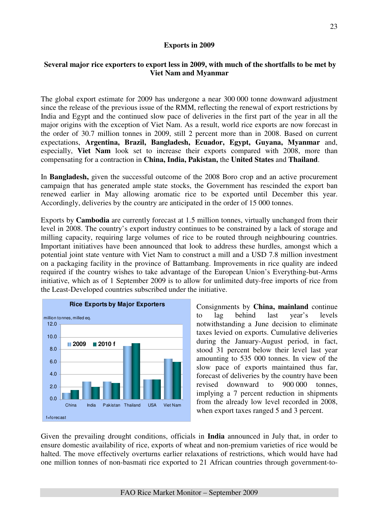### **Exports in 2009**

## **Several major rice exporters to export less in 2009, with much of the shortfalls to be met by Viet Nam and Myanmar**

The global export estimate for 2009 has undergone a near 300 000 tonne downward adjustment since the release of the previous issue of the RMM, reflecting the renewal of export restrictions by India and Egypt and the continued slow pace of deliveries in the first part of the year in all the major origins with the exception of Viet Nam. As a result, world rice exports are now forecast in the order of 30.7 million tonnes in 2009, still 2 percent more than in 2008. Based on current expectations, **Argentina, Brazil, Bangladesh, Ecuador, Egypt, Guyana, Myanmar** and, especially, **Viet Nam** look set to increase their exports compared with 2008, more than compensating for a contraction in **China, India, Pakistan,** the **United States** and **Thailand**.

In **Bangladesh,** given the successful outcome of the 2008 Boro crop and an active procurement campaign that has generated ample state stocks, the Government has rescinded the export ban renewed earlier in May allowing aromatic rice to be exported until December this year. Accordingly, deliveries by the country are anticipated in the order of 15 000 tonnes.

Exports by **Cambodia** are currently forecast at 1.5 million tonnes, virtually unchanged from their level in 2008. The country's export industry continues to be constrained by a lack of storage and milling capacity, requiring large volumes of rice to be routed through neighbouring countries. Important initiatives have been announced that look to address these hurdles, amongst which a potential joint state venture with Viet Nam to construct a mill and a USD 7.8 million investment on a packaging facility in the province of Battambang. Improvements in rice quality are indeed required if the country wishes to take advantage of the European Union's Everything-but-Arms initiative, which as of 1 September 2009 is to allow for unlimited duty-free imports of rice from the Least-Developed countries subscribed under the initiative.



Consignments by **China, mainland** continue to lag behind last year's levels notwithstanding a June decision to eliminate taxes levied on exports. Cumulative deliveries during the January-August period, in fact, stood 31 percent below their level last year amounting to 535 000 tonnes. In view of the slow pace of exports maintained thus far, forecast of deliveries by the country have been revised downward to 900 000 tonnes, implying a 7 percent reduction in shipments from the already low level recorded in 2008, when export taxes ranged 5 and 3 percent.

Given the prevailing drought conditions, officials in **India** announced in July that, in order to ensure domestic availability of rice, exports of wheat and non-premium varieties of rice would be halted. The move effectively overturns earlier relaxations of restrictions, which would have had one million tonnes of non-basmati rice exported to 21 African countries through government-to-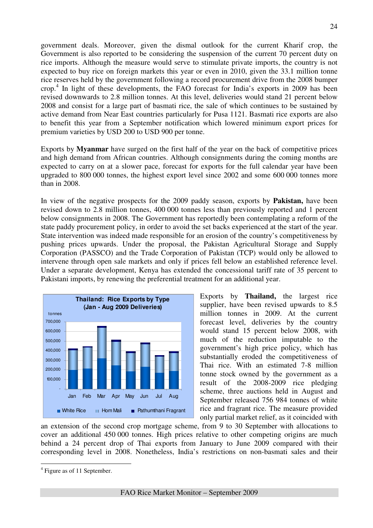government deals. Moreover, given the dismal outlook for the current Kharif crop, the Government is also reported to be considering the suspension of the current 70 percent duty on rice imports. Although the measure would serve to stimulate private imports, the country is not expected to buy rice on foreign markets this year or even in 2010, given the 33.1 million tonne rice reserves held by the government following a record procurement drive from the 2008 bumper crop. 4 In light of these developments, the FAO forecast for India's exports in 2009 has been revised downwards to 2.8 million tonnes. At this level, deliveries would stand 21 percent below 2008 and consist for a large part of basmati rice, the sale of which continues to be sustained by active demand from Near East countries particularly for Pusa 1121. Basmati rice exports are also to benefit this year from a September notification which lowered minimum export prices for premium varieties by USD 200 to USD 900 per tonne.

Exports by **Myanmar** have surged on the first half of the year on the back of competitive prices and high demand from African countries. Although consignments during the coming months are expected to carry on at a slower pace, forecast for exports for the full calendar year have been upgraded to 800 000 tonnes, the highest export level since 2002 and some 600 000 tonnes more than in 2008.

In view of the negative prospects for the 2009 paddy season, exports by **Pakistan,** have been revised down to 2.8 million tonnes, 400 000 tonnes less than previously reported and 1 percent below consignments in 2008. The Government has reportedly been contemplating a reform of the state paddy procurement policy, in order to avoid the set backs experienced at the start of the year. State intervention was indeed made responsible for an erosion of the country's competitiveness by pushing prices upwards. Under the proposal, the Pakistan Agricultural Storage and Supply Corporation (PASSCO) and the Trade Corporation of Pakistan (TCP) would only be allowed to intervene through open sale markets and only if prices fell below an established reference level. Under a separate development, Kenya has extended the concessional tariff rate of 35 percent to Pakistani imports, by renewing the preferential treatment for an additional year.



Exports by **Thailand,** the largest rice supplier, have been revised upwards to 8.5 million tonnes in 2009. At the current forecast level, deliveries by the country would stand 15 percent below 2008, with much of the reduction imputable to the government's high price policy, which has substantially eroded the competitiveness of Thai rice. With an estimated 7-8 million tonne stock owned by the government as a result of the 2008-2009 rice pledging scheme, three auctions held in August and September released 756 984 tonnes of white rice and fragrant rice. The measure provided only partial market relief, as it coincided with

an extension of the second crop mortgage scheme, from 9 to 30 September with allocations to cover an additional 450 000 tonnes. High prices relative to other competing origins are much behind a 24 percent drop of Thai exports from January to June 2009 compared with their corresponding level in 2008. Nonetheless, India's restrictions on non-basmati sales and their

 $\overline{a}$ 

<sup>&</sup>lt;sup>4</sup> Figure as of 11 September.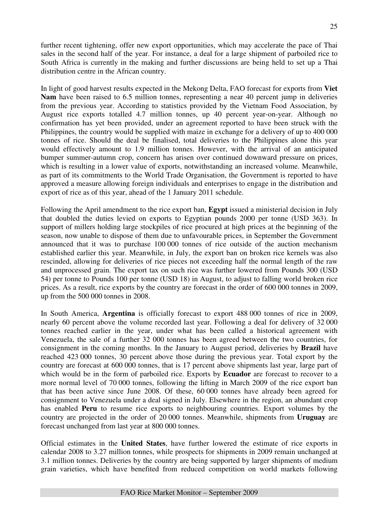further recent tightening, offer new export opportunities, which may accelerate the pace of Thai sales in the second half of the year. For instance, a deal for a large shipment of parboiled rice to South Africa is currently in the making and further discussions are being held to set up a Thai distribution centre in the African country.

In light of good harvest results expected in the Mekong Delta, FAO forecast for exports from **Viet Nam** have been raised to 6.5 million tonnes, representing a near 40 percent jump in deliveries from the previous year. According to statistics provided by the Vietnam Food Association, by August rice exports totalled 4.7 million tonnes, up 40 percent year-on-year. Although no confirmation has yet been provided, under an agreement reported to have been struck with the Philippines, the country would be supplied with maize in exchange for a delivery of up to 400 000 tonnes of rice. Should the deal be finalised, total deliveries to the Philippines alone this year would effectively amount to 1.9 million tonnes. However, with the arrival of an anticipated bumper summer-autumn crop, concern has arisen over continued downward pressure on prices, which is resulting in a lower value of exports, notwithstanding an increased volume. Meanwhile, as part of its commitments to the World Trade Organisation, the Government is reported to have approved a measure allowing foreign individuals and enterprises to engage in the distribution and export of rice as of this year, ahead of the 1 January 2011 schedule.

Following the April amendment to the rice export ban, **Egypt** issued a ministerial decision in July that doubled the duties levied on exports to Egyptian pounds 2000 per tonne (USD 363). In support of millers holding large stockpiles of rice procured at high prices at the beginning of the season, now unable to dispose of them due to unfavourable prices, in September the Government announced that it was to purchase 100 000 tonnes of rice outside of the auction mechanism established earlier this year. Meanwhile, in July, the export ban on broken rice kernels was also rescinded, allowing for deliveries of rice pieces not exceeding half the normal length of the raw and unprocessed grain. The export tax on such rice was further lowered from Pounds 300 (USD 54) per tonne to Pounds 100 per tonne (USD 18) in August, to adjust to falling world broken rice prices. As a result, rice exports by the country are forecast in the order of 600 000 tonnes in 2009, up from the 500 000 tonnes in 2008.

In South America, **Argentina** is officially forecast to export 488 000 tonnes of rice in 2009, nearly 60 percent above the volume recorded last year. Following a deal for delivery of 32 000 tonnes reached earlier in the year, under what has been called a historical agreement with Venezuela, the sale of a further 32 000 tonnes has been agreed between the two countries, for consignment in the coming months. In the January to August period, deliveries by **Brazil** have reached 423 000 tonnes, 30 percent above those during the previous year. Total export by the country are forecast at 600 000 tonnes, that is 17 percent above shipments last year, large part of which would be in the form of parboiled rice. Exports by **Ecuador** are forecast to recover to a more normal level of 70 000 tonnes, following the lifting in March 2009 of the rice export ban that has been active since June 2008. Of these, 60 000 tonnes have already been agreed for consignment to Venezuela under a deal signed in July. Elsewhere in the region, an abundant crop has enabled **Peru** to resume rice exports to neighbouring countries. Export volumes by the country are projected in the order of 20 000 tonnes. Meanwhile, shipments from **Uruguay** are forecast unchanged from last year at 800 000 tonnes.

Official estimates in the **United States**, have further lowered the estimate of rice exports in calendar 2008 to 3.27 million tonnes, while prospects for shipments in 2009 remain unchanged at 3.1 million tonnes. Deliveries by the country are being supported by larger shipments of medium grain varieties, which have benefited from reduced competition on world markets following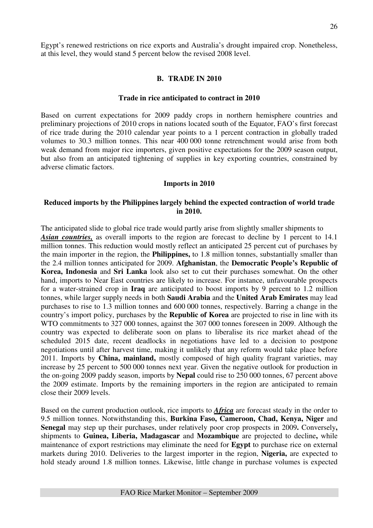Egypt's renewed restrictions on rice exports and Australia's drought impaired crop. Nonetheless, at this level, they would stand 5 percent below the revised 2008 level.

#### **B. TRADE IN 2010**

#### **Trade in rice anticipated to contract in 2010**

Based on current expectations for 2009 paddy crops in northern hemisphere countries and preliminary projections of 2010 crops in nations located south of the Equator, FAO's first forecast of rice trade during the 2010 calendar year points to a 1 percent contraction in globally traded volumes to 30.3 million tonnes. This near 400 000 tonne retrenchment would arise from both weak demand from major rice importers, given positive expectations for the 2009 season output, but also from an anticipated tightening of supplies in key exporting countries, constrained by adverse climatic factors.

#### **Imports in 2010**

### **Reduced imports by the Philippines largely behind the expected contraction of world trade in 2010.**

The anticipated slide to global rice trade would partly arise from slightly smaller shipments to *Asian countries,* as overall imports to the region are forecast to decline by 1 percent to 14.1 million tonnes. This reduction would mostly reflect an anticipated 25 percent cut of purchases by the main importer in the region, the **Philippines,** to 1.8 million tonnes, substantially smaller than the 2.4 million tonnes anticipated for 2009. **Afghanistan**, the **Democratic People's Republic of Korea, Indonesia** and **Sri Lanka** look also set to cut their purchases somewhat. On the other hand, imports to Near East countries are likely to increase. For instance, unfavourable prospects for a water-strained crop in **Iraq** are anticipated to boost imports by 9 percent to 1.2 million tonnes, while larger supply needs in both **Saudi Arabia** and the **United Arab Emirates** may lead purchases to rise to 1.3 million tonnes and 600 000 tonnes, respectively. Barring a change in the country's import policy, purchases by the **Republic of Korea** are projected to rise in line with its WTO commitments to 327 000 tonnes, against the 307 000 tonnes foreseen in 2009. Although the country was expected to deliberate soon on plans to liberalise its rice market ahead of the scheduled 2015 date, recent deadlocks in negotiations have led to a decision to postpone negotiations until after harvest time, making it unlikely that any reform would take place before 2011. Imports by **China, mainland,** mostly composed of high quality fragrant varieties, may increase by 25 percent to 500 000 tonnes next year. Given the negative outlook for production in the on-going 2009 paddy season, imports by **Nepal** could rise to 250 000 tonnes, 67 percent above the 2009 estimate. Imports by the remaining importers in the region are anticipated to remain close their 2009 levels.

Based on the current production outlook, rice imports to *Africa* are forecast steady in the order to 9.5 million tonnes. Notwithstanding this, **Burkina Faso, Cameroon, Chad, Kenya, Niger** and **Senegal** may step up their purchases, under relatively poor crop prospects in 2009**.** Conversely**,**  shipments to **Guinea, Liberia, Madagascar** and **Mozambique** are projected to decline**,** while maintenance of export restrictions may eliminate the need for **Egypt** to purchase rice on external markets during 2010. Deliveries to the largest importer in the region, **Nigeria,** are expected to hold steady around 1.8 million tonnes. Likewise, little change in purchase volumes is expected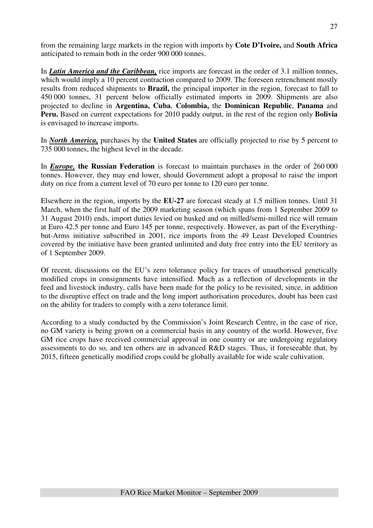from the remaining large markets in the region with imports by **Cote D'Ivoire,** and **South Africa**  anticipated to remain both in the order 900 000 tonnes.

In *Latin America and the Caribbean,* rice imports are forecast in the order of 3.1 million tonnes, which would imply a 10 percent contraction compared to 2009. The foreseen retrenchment mostly results from reduced shipments to **Brazil,** the principal importer in the region, forecast to fall to 450 000 tonnes, 31 percent below officially estimated imports in 2009. Shipments are also projected to decline in **Argentina, Cuba**, **Colombia,** the **Dominican Republic**, **Panama** and **Peru.** Based on current expectations for 2010 paddy output, in the rest of the region only **Bolivia**  is envisaged to increase imports.

In *North America,* purchases by the **United States** are officially projected to rise by 5 percent to 735 000 tonnes, the highest level in the decade.

In *Europe,* **the Russian Federation** is forecast to maintain purchases in the order of 260 000 tonnes. However, they may end lower, should Government adopt a proposal to raise the import duty on rice from a current level of 70 euro per tonne to 120 euro per tonne.

Elsewhere in the region, imports by the **EU-27** are forecast steady at 1.5 million tonnes. Until 31 March, when the first half of the 2009 marketing season (which spans from 1 September 2009 to 31 August 2010) ends, import duties levied on husked and on milled/semi-milled rice will remain at Euro 42.5 per tonne and Euro 145 per tonne, respectively. However, as part of the Everythingbut-Arms initiative subscribed in 2001, rice imports from the 49 Least Developed Countries covered by the initiative have been granted unlimited and duty free entry into the EU territory as of 1 September 2009.

Of recent, discussions on the EU's zero tolerance policy for traces of unauthorised genetically modified crops in consignments have intensified. Much as a reflection of developments in the feed and livestock industry, calls have been made for the policy to be revisited, since, in addition to the disruptive effect on trade and the long import authorisation procedures, doubt has been cast on the ability for traders to comply with a zero tolerance limit.

According to a study conducted by the Commission's Joint Research Centre, in the case of rice, no GM variety is being grown on a commercial basis in any country of the world. However, five GM rice crops have received commercial approval in one country or are undergoing regulatory assessments to do so, and ten others are in advanced R&D stages. Thus, it foreseeable that, by 2015, fifteen genetically modified crops could be globally available for wide scale cultivation.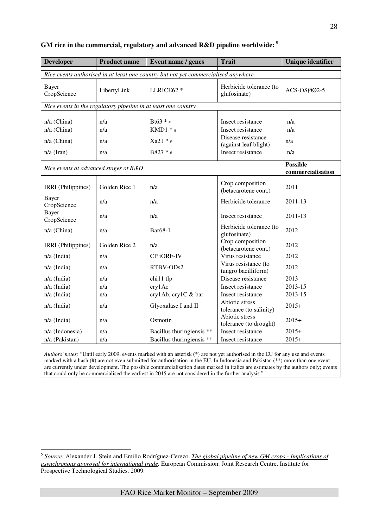| <b>Developer</b>                                               | <b>Product name</b>                                                                | Event name / genes        | <b>Trait</b>                                | <b>Unique identifier</b>             |  |  |  |  |  |  |
|----------------------------------------------------------------|------------------------------------------------------------------------------------|---------------------------|---------------------------------------------|--------------------------------------|--|--|--|--|--|--|
|                                                                | Rice events authorised in at least one country but not yet commercialised anywhere |                           |                                             |                                      |  |  |  |  |  |  |
| Bayer<br>CropScience                                           | LibertyLink                                                                        | LLRICE62 *                | Herbicide tolerance (to<br>glufosinate)     | ACS-OSØØ2-5                          |  |  |  |  |  |  |
| Rice events in the regulatory pipeline in at least one country |                                                                                    |                           |                                             |                                      |  |  |  |  |  |  |
| n/a (China)<br>n/a (China)                                     | n/a<br>n/a                                                                         | Bt63 $*$ #<br>KMD1 $*$ #  | Insect resistance<br>Insect resistance      | n/a<br>n/a                           |  |  |  |  |  |  |
| n/a (China)                                                    | n/a                                                                                | $Xa21 * _$                | Disease resistance<br>(against leaf blight) | n/a                                  |  |  |  |  |  |  |
| $n/a$ (Iran)                                                   | n/a                                                                                | B827 * #                  | Insect resistance                           | n/a                                  |  |  |  |  |  |  |
| Rice events at advanced stages of R&D                          |                                                                                    |                           |                                             | <b>Possible</b><br>commercialisation |  |  |  |  |  |  |
| IRRI (Philippines)                                             | Golden Rice 1                                                                      | n/a                       | Crop composition<br>(betacarotene cont.)    | 2011                                 |  |  |  |  |  |  |
| Bayer<br>CropScience                                           | n/a                                                                                | n/a                       | Herbicide tolerance                         | 2011-13                              |  |  |  |  |  |  |
| Bayer<br>CropScience                                           | n/a                                                                                | n/a                       | Insect resistance                           | 2011-13                              |  |  |  |  |  |  |
| n/a (China)                                                    | n/a                                                                                | Bar68-1                   | Herbicide tolerance (to<br>glufosinate)     | 2012                                 |  |  |  |  |  |  |
| IRRI (Philippines)                                             | Golden Rice 2                                                                      | n/a                       | Crop composition<br>(betacarotene cont.)    | 2012                                 |  |  |  |  |  |  |
| $n/a$ (India)                                                  | n/a                                                                                | CP iORF-IV                | Virus resistance                            | 2012                                 |  |  |  |  |  |  |
| $n/a$ (India)                                                  | n/a                                                                                | RTBV-ODs2                 | Virus resistance (to<br>tungro bacilliform) | 2012                                 |  |  |  |  |  |  |
| $n/a$ (India)                                                  | n/a                                                                                | chi11 tlp                 | Disease resistance                          | 2013                                 |  |  |  |  |  |  |
| n/a (India)                                                    | n/a                                                                                | cry1Ac                    | Insect resistance                           | 2013-15                              |  |  |  |  |  |  |
| n/a (India)                                                    | n/a                                                                                | cry1Ab, cry1C & bar       | Insect resistance                           | 2013-15                              |  |  |  |  |  |  |
| n/a (India)                                                    | n/a                                                                                | Glyoxalase I and II       | Abiotic stress<br>tolerance (to salinity)   | $2015+$                              |  |  |  |  |  |  |
| $n/a$ (India)                                                  | n/a                                                                                | Osmotin                   | Abiotic stress<br>tolerance (to drought)    | $2015+$                              |  |  |  |  |  |  |
| n/a (Indonesia)                                                | n/a                                                                                | Bacillus thuringiensis ** | Insect resistance                           | $2015+$                              |  |  |  |  |  |  |
| n/a (Pakistan)                                                 | n/a                                                                                | Bacillus thuringiensis ** | Insect resistance                           | $2015+$                              |  |  |  |  |  |  |

## **GM rice in the commercial, regulatory and advanced R&D pipeline worldwide:<sup>5</sup>**

*Authors' notes:* "Until early 2009, events marked with an asterisk (\*) are not yet authorised in the EU for any use and events marked with a hash (#) are not even submitted for authorisation in the EU. In Indonesia and Pakistan (\*\*) more than one event are currently under development. The possible commercialisation dates marked in italics are estimates by the authors only; events that could only be commercialised the earliest in 2015 are not considered in the further analysis."

 5 *Source:* Alexander J. Stein and Emilio Rodríguez-Cerezo. *The global pipeline of new GM crops - Implications of asynchronous approval for international trade.* European Commission: Joint Research Centre. Institute for Prospective Technological Studies. 2009.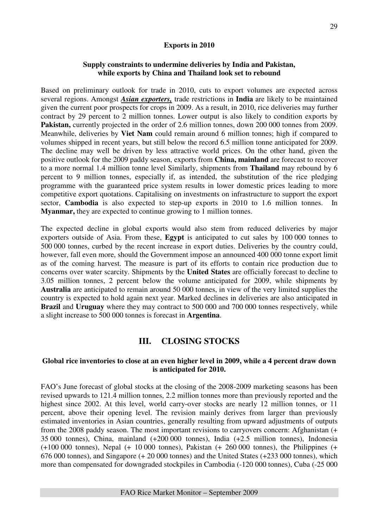## **Exports in 2010**

## **Supply constraints to undermine deliveries by India and Pakistan, while exports by China and Thailand look set to rebound**

Based on preliminary outlook for trade in 2010, cuts to export volumes are expected across several regions. Amongst *Asian exporters,* trade restrictions in **India** are likely to be maintained given the current poor prospects for crops in 2009. As a result, in 2010, rice deliveries may further contract by 29 percent to 2 million tonnes. Lower output is also likely to condition exports by Pakistan, currently projected in the order of 2.6 million tonnes, down 200 000 tonnes from 2009. Meanwhile, deliveries by **Viet Nam** could remain around 6 million tonnes; high if compared to volumes shipped in recent years, but still below the record 6.5 million tonne anticipated for 2009. The decline may well be driven by less attractive world prices. On the other hand, given the positive outlook for the 2009 paddy season, exports from **China, mainland** are forecast to recover to a more normal 1.4 million tonne level Similarly, shipments from **Thailand** may rebound by 6 percent to 9 million tonnes, especially if, as intended, the substitution of the rice pledging programme with the guaranteed price system results in lower domestic prices leading to more competitive export quotations. Capitalising on investments on infrastructure to support the export sector, **Cambodia** is also expected to step-up exports in 2010 to 1.6 million tonnes. In **Myanmar,** they are expected to continue growing to 1 million tonnes.

The expected decline in global exports would also stem from reduced deliveries by major exporters outside of Asia. From these, **Egypt** is anticipated to cut sales by 100 000 tonnes to 500 000 tonnes, curbed by the recent increase in export duties. Deliveries by the country could, however, fall even more, should the Government impose an announced 400 000 tonne export limit as of the coming harvest. The measure is part of its efforts to contain rice production due to concerns over water scarcity. Shipments by the **United States** are officially forecast to decline to 3.05 million tonnes, 2 percent below the volume anticipated for 2009, while shipments by **Australia** are anticipated to remain around 50 000 tonnes, in view of the very limited supplies the country is expected to hold again next year. Marked declines in deliveries are also anticipated in **Brazil** and **Uruguay** where they may contract to 500 000 and 700 000 tonnes respectively, while a slight increase to 500 000 tonnes is forecast in **Argentina**.

# **III. CLOSING STOCKS**

#### **Global rice inventories to close at an even higher level in 2009, while a 4 percent draw down is anticipated for 2010.**

FAO's June forecast of global stocks at the closing of the 2008-2009 marketing seasons has been revised upwards to 121.4 million tonnes, 2.2 million tonnes more than previously reported and the highest since 2002. At this level, world carry-over stocks are nearly 12 million tonnes, or 11 percent, above their opening level. The revision mainly derives from larger than previously estimated inventories in Asian countries, generally resulting from upward adjustments of outputs from the 2008 paddy season. The most important revisions to carryovers concern: Afghanistan (+ 35 000 tonnes), China, mainland (+200 000 tonnes), India (+2.5 million tonnes), Indonesia (+100 000 tonnes), Nepal (+ 10 000 tonnes), Pakistan (+ 260 000 tonnes), the Philippines (+ 676 000 tonnes), and Singapore (+ 20 000 tonnes) and the United States (+233 000 tonnes), which more than compensated for downgraded stockpiles in Cambodia (-120 000 tonnes), Cuba (-25 000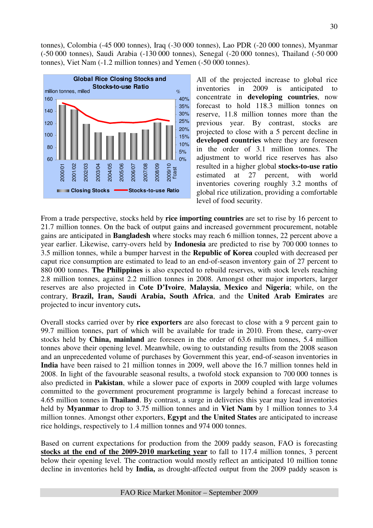tonnes), Colombia (-45 000 tonnes), Iraq (-30 000 tonnes), Lao PDR (-20 000 tonnes), Myanmar (-50 000 tonnes), Saudi Arabia (-130 000 tonnes), Senegal (-20 000 tonnes), Thailand (-50 000 tonnes), Viet Nam (-1.2 million tonnes) and Yemen (-50 000 tonnes).



All of the projected increase to global rice inventories in 2009 is anticipated to concentrate in **developing countries**, now forecast to hold 118.3 million tonnes on reserve, 11.8 million tonnes more than the previous year. By contrast, stocks are projected to close with a 5 percent decline in **developed countries** where they are foreseen in the order of 3.1 million tonnes. The adjustment to world rice reserves has also resulted in a higher global **stocks-to-use ratio**  estimated at 27 percent, with world inventories covering roughly 3.2 months of global rice utilization, providing a comfortable level of food security.

From a trade perspective, stocks held by **rice importing countries** are set to rise by 16 percent to 21.7 million tonnes. On the back of output gains and increased government procurement, notable gains are anticipated in **Bangladesh** where stocks may reach 6 million tonnes, 22 percent above a year earlier. Likewise, carry-overs held by **Indonesia** are predicted to rise by 700 000 tonnes to 3.5 million tonnes, while a bumper harvest in the **Republic of Korea** coupled with decreased per caput rice consumption are estimated to lead to an end-of-season inventory gain of 27 percent to 880 000 tonnes. **The Philippines** is also expected to rebuild reserves, with stock levels reaching 2.8 million tonnes, against 2.2 million tonnes in 2008. Amongst other major importers, larger reserves are also projected in **Cote D'Ivoire**, **Malaysia**, **Mexico** and **Nigeria**; while, on the contrary, **Brazil, Iran, Saudi Arabia, South Africa**, and the **United Arab Emirates** are projected to incur inventory cuts**.** 

Overall stocks carried over by **rice exporters** are also forecast to close with a 9 percent gain to 99.7 million tonnes, part of which will be available for trade in 2010. From these, carry-over stocks held by **China, mainland** are foreseen in the order of 63.6 million tonnes, 5.4 million tonnes above their opening level. Meanwhile, owing to outstanding results from the 2008 season and an unprecedented volume of purchases by Government this year, end-of-season inventories in **India** have been raised to 21 million tonnes in 2009, well above the 16.7 million tonnes held in 2008. In light of the favourable seasonal results, a twofold stock expansion to 700 000 tonnes is also predicted in **Pakistan**, while a slower pace of exports in 2009 coupled with large volumes committed to the government procurement programme is largely behind a forecast increase to 4.65 million tonnes in **Thailand**. By contrast, a surge in deliveries this year may lead inventories held by **Myanmar** to drop to 3.75 million tonnes and in **Viet Nam** by 1 million tonnes to 3.4 million tonnes. Amongst other exporters, **Egypt** and **the United States** are anticipated to increase rice holdings, respectively to 1.4 million tonnes and 974 000 tonnes.

Based on current expectations for production from the 2009 paddy season, FAO is forecasting **stocks at the end of the 2009-2010 marketing year** to fall to 117.4 million tonnes, 3 percent below their opening level. The contraction would mostly reflect an anticipated 10 million tonne decline in inventories held by **India,** as drought-affected output from the 2009 paddy season is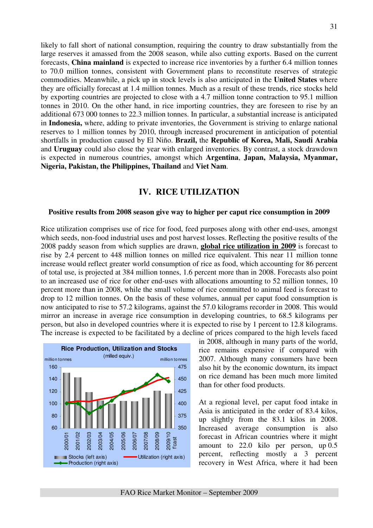likely to fall short of national consumption, requiring the country to draw substantially from the large reserves it amassed from the 2008 season, while also cutting exports. Based on the current forecasts, **China mainland** is expected to increase rice inventories by a further 6.4 million tonnes to 70.0 million tonnes, consistent with Government plans to reconstitute reserves of strategic commodities. Meanwhile, a pick up in stock levels is also anticipated in the **United States** where they are officially forecast at 1.4 million tonnes. Much as a result of these trends, rice stocks held by exporting countries are projected to close with a 4.7 million tonne contraction to 95.1 million tonnes in 2010. On the other hand, in rice importing countries, they are foreseen to rise by an additional 673 000 tonnes to 22.3 million tonnes. In particular, a substantial increase is anticipated in **Indonesia,** where, adding to private inventories, the Government is striving to enlarge national reserves to 1 million tonnes by 2010, through increased procurement in anticipation of potential shortfalls in production caused by El Niño. **Brazil,** the **Republic of Korea, Mali, Saudi Arabia**  and **Uruguay** could also close the year with enlarged inventories. By contrast, a stock drawdown is expected in numerous countries, amongst which **Argentina**, **Japan, Malaysia, Myanmar, Nigeria, Pakistan, the Philippines, Thailand** and **Viet Nam**.

## **IV. RICE UTILIZATION**

#### **Positive results from 2008 season give way to higher per caput rice consumption in 2009**

Rice utilization comprises use of rice for food, feed purposes along with other end-uses, amongst which seeds, non-food industrial uses and post harvest losses. Reflecting the positive results of the 2008 paddy season from which supplies are drawn, **global rice utilization in 2009** is forecast to rise by 2.4 percent to 448 million tonnes on milled rice equivalent. This near 11 million tonne increase would reflect greater world consumption of rice as food, which accounting for 86 percent of total use, is projected at 384 million tonnes, 1.6 percent more than in 2008. Forecasts also point to an increased use of rice for other end-uses with allocations amounting to 52 million tonnes, 10 percent more than in 2008, while the small volume of rice committed to animal feed is forecast to drop to 12 million tonnes. On the basis of these volumes, annual per caput food consumption is now anticipated to rise to 57.2 kilograms, against the 57.0 kilograms recorder in 2008. This would mirror an increase in average rice consumption in developing countries, to 68.5 kilograms per person, but also in developed countries where it is expected to rise by 1 percent to 12.8 kilograms. The increase is expected to be facilitated by a decline of prices compared to the high levels faced



in 2008, although in many parts of the world, rice remains expensive if compared with 2007. Although many consumers have been also hit by the economic downturn, its impact on rice demand has been much more limited than for other food products.

At a regional level, per caput food intake in Asia is anticipated in the order of 83.4 kilos, up slightly from the 83.1 kilos in 2008. Increased average consumption is also forecast in African countries where it might amount to 22.0 kilo per person, up 0.5 percent, reflecting mostly a 3 percent recovery in West Africa, where it had been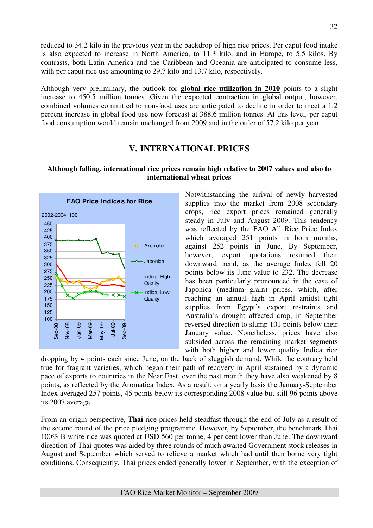reduced to 34.2 kilo in the previous year in the backdrop of high rice prices. Per caput food intake is also expected to increase in North America, to 11.3 kilo, and in Europe, to 5.5 kilos. By contrasts, both Latin America and the Caribbean and Oceania are anticipated to consume less, with per caput rice use amounting to 29.7 kilo and 13.7 kilo, respectively.

Although very preliminary, the outlook for **global rice utilization in 2010** points to a slight increase to 450.5 million tonnes. Given the expected contraction in global output, however, combined volumes committed to non-food uses are anticipated to decline in order to meet a 1.2 percent increase in global food use now forecast at 388.6 million tonnes. At this level, per caput food consumption would remain unchanged from 2009 and in the order of 57.2 kilo per year.

# **V. INTERNATIONAL PRICES**

## **Although falling, international rice prices remain high relative to 2007 values and also to international wheat prices**



Notwithstanding the arrival of newly harvested supplies into the market from 2008 secondary crops, rice export prices remained generally steady in July and August 2009. This tendency was reflected by the FAO All Rice Price Index which averaged 251 points in both months, against 252 points in June. By September, however, export quotations resumed their downward trend, as the average Index fell 20 points below its June value to 232. The decrease has been particularly pronounced in the case of Japonica (medium grain) prices, which, after reaching an annual high in April amidst tight supplies from Egypt's export restraints and Australia's drought affected crop, in September reversed direction to slump 101 points below their January value. Nonetheless, prices have also subsided across the remaining market segments with both higher and lower quality Indica rice

dropping by 4 points each since June, on the back of sluggish demand. While the contrary held true for fragrant varieties, which began their path of recovery in April sustained by a dynamic pace of exports to countries in the Near East, over the past month they have also weakened by 8 points, as reflected by the Aromatica Index. As a result, on a yearly basis the January-September Index averaged 257 points, 45 points below its corresponding 2008 value but still 96 points above its 2007 average.

From an origin perspective, **Thai** rice prices held steadfast through the end of July as a result of the second round of the price pledging programme. However, by September, the benchmark Thai 100% B white rice was quoted at USD 560 per tonne, 4 per cent lower than June. The downward direction of Thai quotes was aided by three rounds of much awaited Government stock releases in August and September which served to relieve a market which had until then borne very tight conditions. Consequently, Thai prices ended generally lower in September, with the exception of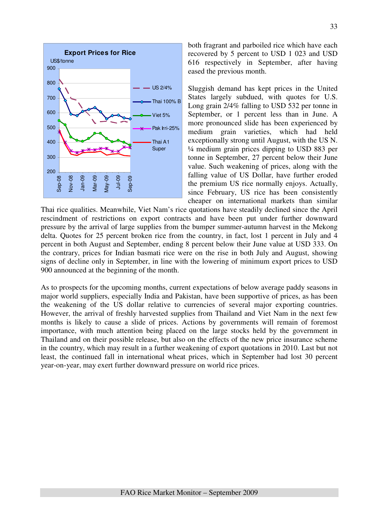

both fragrant and parboiled rice which have each recovered by 5 percent to USD 1 023 and USD 616 respectively in September, after having eased the previous month.

Sluggish demand has kept prices in the United States largely subdued, with quotes for U.S. Long grain 2/4% falling to USD 532 per tonne in September, or 1 percent less than in June. A more pronounced slide has been experienced by medium grain varieties, which had held exceptionally strong until August, with the US N. ¼ medium grain prices dipping to USD 883 per tonne in September, 27 percent below their June value. Such weakening of prices, along with the falling value of US Dollar, have further eroded the premium US rice normally enjoys. Actually, since February, US rice has been consistently cheaper on international markets than similar

Thai rice qualities. Meanwhile, Viet Nam's rice quotations have steadily declined since the April rescindment of restrictions on export contracts and have been put under further downward pressure by the arrival of large supplies from the bumper summer-autumn harvest in the Mekong delta. Quotes for 25 percent broken rice from the country, in fact, lost 1 percent in July and 4 percent in both August and September, ending 8 percent below their June value at USD 333. On the contrary, prices for Indian basmati rice were on the rise in both July and August, showing signs of decline only in September, in line with the lowering of minimum export prices to USD 900 announced at the beginning of the month.

As to prospects for the upcoming months, current expectations of below average paddy seasons in major world suppliers, especially India and Pakistan, have been supportive of prices, as has been the weakening of the US dollar relative to currencies of several major exporting countries. However, the arrival of freshly harvested supplies from Thailand and Viet Nam in the next few months is likely to cause a slide of prices. Actions by governments will remain of foremost importance, with much attention being placed on the large stocks held by the government in Thailand and on their possible release, but also on the effects of the new price insurance scheme in the country, which may result in a further weakening of export quotations in 2010. Last but not least, the continued fall in international wheat prices, which in September had lost 30 percent year-on-year, may exert further downward pressure on world rice prices.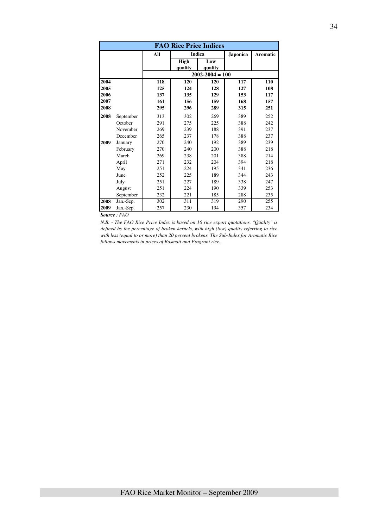| <b>FAO Rice Price Indices</b> |           |                   |                   |                     |                   |                   |  |  |  |
|-------------------------------|-----------|-------------------|-------------------|---------------------|-------------------|-------------------|--|--|--|
|                               |           | All               |                   | Indica              | <b>Japonica</b>   | <b>Aromatic</b>   |  |  |  |
|                               |           |                   | High<br>quality   | Low<br>quality      |                   |                   |  |  |  |
|                               |           |                   |                   | $2002 - 2004 = 100$ |                   |                   |  |  |  |
| 2004<br>2005<br>2006          |           | 118<br>125<br>137 | 120<br>124<br>135 | 120<br>128<br>129   | 117<br>127<br>153 | 110<br>108<br>117 |  |  |  |
| 2007<br>2008                  |           | 161<br>295        | 156<br>296        | 159<br>289          | 168<br>315        | 157<br>251        |  |  |  |
| 2008                          | September | 313               | 302               | 269                 | 389               | 252               |  |  |  |
|                               | October   | 291               | 275               | 225                 | 388               | 242               |  |  |  |
|                               | November  | 269               | 239               | 188                 | 391               | 237               |  |  |  |
|                               | December  | 265               | 237               | 178                 | 388               | 237               |  |  |  |
| 2009                          | January   | 270               | 240               | 192                 | 389               | 239               |  |  |  |
|                               | February  | 270               | 240               | 200                 | 388               | 218               |  |  |  |
|                               | March     | 269               | 238               | 201                 | 388               | 214               |  |  |  |
|                               | April     | 271               | 232               | 204                 | 394               | 218               |  |  |  |
|                               | May       | 251               | 224               | 195                 | 341               | 236               |  |  |  |
|                               | June      | 252               | 225               | 189                 | 344               | 243               |  |  |  |
|                               | July      | 251               | 227               | 189                 | 338               | 247               |  |  |  |
|                               | August    | 251               | 224               | 190                 | 339               | 253               |  |  |  |
|                               | September | 232               | 221               | 185                 | 288               | 235               |  |  |  |
| 2008                          | Jan.-Sep. | 302               | 311               | 319                 | 290               | 255               |  |  |  |
| 2009                          | Jan.-Sep. | 257               | 230               | 194                 | 357               | 234               |  |  |  |

*Source : FAO* 

*N.B. - The FAO Rice Price Index is based on 16 rice export quotations. "Quality" is defined by the percentage of broken kernels, with high (low) quality referring to rice with less (equal to or more) than 20 percent brokens. The Sub-Index for Aromatic Rice follows movements in prices of Basmati and Fragrant rice.*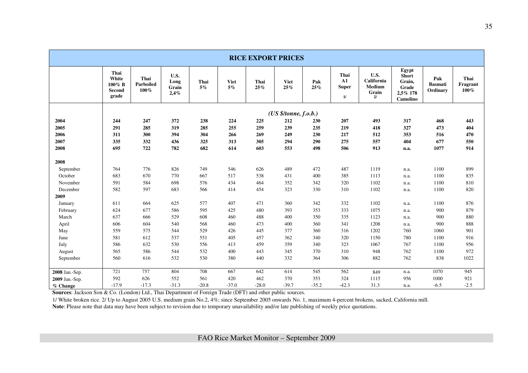| <b>RICE EXPORT PRICES</b> |                                                   |                           |                               |               |                      |             |                       |            |                                            |                                                    |                                                                  |                                   |                             |
|---------------------------|---------------------------------------------------|---------------------------|-------------------------------|---------------|----------------------|-------------|-----------------------|------------|--------------------------------------------|----------------------------------------------------|------------------------------------------------------------------|-----------------------------------|-----------------------------|
|                           | Thai<br>White<br>100% B<br><b>Second</b><br>grade | Thai<br>Parboiled<br>100% | U.S.<br>Long<br>Grain<br>2,4% | Thai<br>$5\%$ | <b>Viet</b><br>$5\%$ | Thai<br>25% | <b>Viet</b><br>25%    | Pak<br>25% | Thai<br>${\bf A1}$<br><b>Super</b><br>$1/$ | U.S.<br><b>California</b><br>Medium<br>Grain<br>2l | Egypt<br><b>Short</b><br>Grain,<br>Grade<br>2,5% 178<br>Camolino | Pak<br><b>Basmati</b><br>Ordinary | Thai<br>Fragrant<br>$100\%$ |
|                           |                                                   |                           |                               |               |                      |             | (US \$/tonne, f.o.b.) |            |                                            |                                                    |                                                                  |                                   |                             |
| 2004                      | 244                                               | 247                       | 372                           | 238           | 224                  | 225         | 212                   | 230        | 207                                        | 493                                                | 317                                                              | 468                               | 443                         |
| 2005                      | 291                                               | 285                       | 319                           | 285           | 255                  | 259         | 239                   | 235        | 219                                        | 418                                                | 327                                                              | 473                               | 404                         |
| 2006                      | 311                                               | 300                       | 394                           | 304           | 266                  | 269         | 249                   | 230        | 217                                        | 512                                                | 353                                                              | 516                               | 470                         |
| 2007                      | 335                                               | 332                       | 436                           | 325           | 313                  | 305         | 294                   | 290        | 275                                        | 557                                                | 404                                                              | 677                               | 550                         |
| 2008                      | 695                                               | 722                       | 782                           | 682           | 614                  | 603         | 553                   | 498        | 506                                        | 913                                                | n.a.                                                             | 1077                              | 914                         |
| 2008                      |                                                   |                           |                               |               |                      |             |                       |            |                                            |                                                    |                                                                  |                                   |                             |
| September                 | 764                                               | 776                       | 826                           | 749           | 546                  | 626         | 489                   | 472        | 487                                        | 1119                                               | n.a.                                                             | 1100                              | 899                         |
| October                   | 683                                               | 670                       | 770                           | 667           | 517                  | 538         | 431                   | 400        | 385                                        | 1113                                               | n.a.                                                             | 1100                              | 835                         |
| November                  | 591                                               | 584                       | 698                           | 576           | 434                  | 464         | 352                   | 342        | 320                                        | 1102                                               | n.a.                                                             | 1100                              | 810                         |
| December                  | 582                                               | 597                       | 683                           | 566           | 414                  | 454         | 323                   | 330        | 310                                        | 1102                                               | n.a.                                                             | 1100                              | 820                         |
| 2009                      |                                                   |                           |                               |               |                      |             |                       |            |                                            |                                                    |                                                                  |                                   |                             |
| January                   | 611                                               | 664                       | 625                           | 577           | 407                  | 471         | 360                   | 342        | 332                                        | 1102                                               | n.a.                                                             | 1100                              | 876                         |
| February                  | 624                                               | 677                       | 586                           | 595           | 425                  | 480         | 393                   | 353        | 333                                        | 1075                                               | n.a.                                                             | 900                               | 879                         |
| March                     | 637                                               | 666                       | 529                           | 608           | 460                  | 488         | 400                   | 350        | 335                                        | 1123                                               | n.a.                                                             | 900                               | 880                         |
| April                     | 606                                               | 604                       | 540                           | 568           | 460                  | 473         | 400                   | 360        | 341                                        | 1208                                               | n.a.                                                             | 900                               | 888                         |
| May                       | 559                                               | 575                       | 544                           | 529           | 426                  | 445         | 377                   | 360        | 316                                        | 1202                                               | 760                                                              | 1060                              | 901                         |
| June                      | 581                                               | 612                       | 537                           | 551           | 405                  | 457         | 362                   | 340        | 320                                        | 1150                                               | 780                                                              | 1100                              | 916                         |
| July                      | 586                                               | 632                       | 530                           | 556           | 413                  | 459         | 359                   | 340        | 323                                        | 1067                                               | 767                                                              | 1100                              | 956                         |
| August                    | 565                                               | 586                       | 544                           | 532           | 400                  | 443         | 345                   | 370        | 310                                        | 948                                                | 762                                                              | 1100                              | 972                         |
| September                 | 560                                               | 616                       | 532                           | 530           | 380                  | 440         | 332                   | 364        | 306                                        | 882                                                | 762                                                              | 838                               | 1022                        |
| 2008 Jan.-Sep.            | 721                                               | 757                       | 804                           | 708           | 667                  | 642         | 614                   | 545        | 562                                        | 849                                                | n.a.                                                             | 1070                              | 945                         |
| 2009 Jan.-Sep.            | 592                                               | 626                       | 552                           | 561           | 420                  | 462         | 370                   | 353        | 324                                        | 1115                                               | 956                                                              | 1000                              | 921                         |
| % Change                  | $-17.9$                                           | $-17.3$                   | $-31.3$                       | $-20.8$       | $-37.0$              | $-28.0$     | $-39.7$               | $-35.2$    | $-42.3$                                    | 31.3                                               | n.a.                                                             | $-6.5$                            | $-2.5$                      |

**Sources**: Jackson Son & Co. (London) Ltd., Thai Department of Foreign Trade (DFT) and other public sources.

1/ White broken rice. 2/ Up to August 2005 U.S. medium grain No.2, 4%; since September 2005 onwards No. 1, maximum 4-percent brokens, sacked, California mill.

**Note**: Please note that data may have been subject to revision due to temporary unavailability and/or late publishing of weekly price quotations.

FAO Rice Market Monitor – September 2009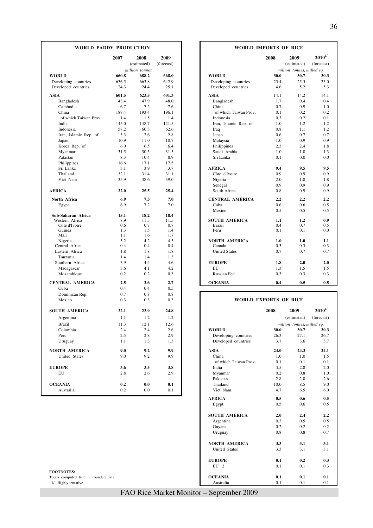| <b>WORLD PADDY PRODUCTION</b> |               |                     | WORLD IMPORTS OF RICE |                                |                              |                            |                            |  |
|-------------------------------|---------------|---------------------|-----------------------|--------------------------------|------------------------------|----------------------------|----------------------------|--|
|                               | 2007          | 2008<br>(estimated) | 2009<br>(forecast)    |                                | 2008                         | 2009<br>(estimated)        | $2010^{1/2}$<br>(forecast) |  |
|                               |               | million tonnes      |                       |                                |                              | million tonnes, milled eq. |                            |  |
| <b>WORLD</b>                  | 660.8         | 688.2               | 668.0                 | <b>WORLD</b>                   | 30.0                         | 30.7                       | 30.3                       |  |
| Developing countries          | 636.5         | 663.8               | 642.9                 | Developing countries           | 25.4                         | 25.5                       | 25.0                       |  |
| Developed countries           | 24.3          | 24.4                | 25.1                  | Developed countries            | 4.6                          | 5.2                        | 5.3                        |  |
|                               |               |                     | 601.3                 |                                |                              |                            |                            |  |
| ASIA                          | 601.5<br>43.4 | 623.5<br>47.9       | 48.0                  | <b>ASIA</b>                    | 14.1<br>1.7                  | 14.2<br>0.4                | 14.1<br>0.4                |  |
| Bangladesh<br>Cambodia        | 6.7           | 7.2                 | 7.6                   | Bangladesh<br>China            | 0.7                          | 0.9                        | 1.0                        |  |
| China                         | 187.4         | 193.4               | 196.1                 | of which Taiwan Prov.          | 0.1                          | 0.2                        | 0.2                        |  |
| of which Taiwan Prov.         | 1.4           | 1.5                 | 1.4                   | Indonesia                      | 0.3                          | 0.2                        | 0.1                        |  |
| India                         | 145.0         | 148.7               | 121.5                 | Iran, Islamic Rep. of          | 1.0                          | 1.2                        | 1.2                        |  |
| Indonesia                     | 57.2          | 60.3                | 62.6                  | Iraq                           | 0.8                          | 1.1                        | 1.2                        |  |
| Iran, Islamic Rep. of         | 3.3           | 2.6                 | 2.8                   | Japan                          | 0.6                          | 0.7                        | 0.7                        |  |
| Japan                         | 10.9          | 11.0                | 10.7                  | Malaysia                       | 1.0                          | 0.9                        | 0.9                        |  |
| Korea Rep. of                 | 6.0           | 6.5                 | 6.4                   | Philippines                    | 2.3                          | 2.4                        | 1.8                        |  |
| Myanmar                       | 31.5          | 30.5                | 31.5                  | Saudi Arabia                   | 1.0                          | 1.0                        | 1.3                        |  |
| Pakistan                      | 8.3           | 10.4                | 8.9                   | Sri Lanka                      | 0.1                          | 0.0                        | 0.0                        |  |
| Philippines                   | 16.6          | 17.1                | 17.5                  |                                |                              |                            |                            |  |
| Sri Lanka                     | 3.1           | 3.9                 | 3.7                   | <b>AFRICA</b>                  | 9.4                          | 9.5                        | 9.5                        |  |
| Thailand                      | 32.1          | 31.4                | 31.1                  | Côte d'Ivoire                  | 0.9                          | 0.9                        | 0.9                        |  |
| Viet Nam                      | 35.9          | 38.6                | 39.0                  | Nigeria                        | 2.0                          | 1.8                        | 1.8                        |  |
|                               |               |                     |                       | Senegal                        | 0.9                          | 0.9                        | 0.9                        |  |
| <b>AFRICA</b>                 | 22.0          | 25.5                | 25.4                  | South Africa                   | 0.8                          | 0.9                        | 0.9                        |  |
| North Africa                  | 6.9           | 7.3                 | 7.0                   | <b>CENTRAL AMERICA</b>         | 2.2                          | 2.2                        | 2.2                        |  |
| Egypt                         | 6.9           | 7.2                 | 7.0                   | Cuba                           | 0.6                          | 0.6                        | 0.5                        |  |
|                               |               |                     |                       | Mexico                         | 0.5                          | 0.5                        | 0.5                        |  |
| Sub-Saharan Africa            | 15.1          | 18.2                | 18.4                  |                                |                              |                            |                            |  |
| Western Africa                | 8.9           | 11.5                | 11.5                  | <b>SOUTH AMERICA</b>           | 1.1                          | 1.2                        | 0.9                        |  |
| Côte d'Ivoire                 | 0.6           | 0.7                 | 0.7                   | <b>Brazil</b>                  | 0.4                          | 0.7                        | 0.5                        |  |
| Guinea                        | 1.3           | 1.5                 | 1.4                   | Peru                           | 0.1                          | 0.1                        | 0.0                        |  |
| Mali                          | 1.1           | 1.6                 | 1.7                   |                                |                              |                            |                            |  |
| Nigeria<br>Central Africa     | 3.2<br>0.4    | 4.2<br>0.4          | 4.3                   | <b>NORTH AMERICA</b><br>Canada | 1.0<br>0.3                   | 1.0<br>0.3                 | 1.1                        |  |
| Eastern Africa                | 1.8           | 1.8                 | 0.4<br>1.8            | <b>United States</b>           | 0.7                          | 0.7                        | 0.3<br>0.7                 |  |
| Tanzania                      | 1.4           | 1.4                 | 1.3                   |                                |                              |                            |                            |  |
| Southern Africa               | 3.9           | 4.4                 | 4.6                   | <b>EUROPE</b>                  | 1.8                          | 2.0                        | 2.0                        |  |
| Madagascar                    | 3.6           | 4.1                 | 4.2                   | EU                             | 1.3                          | 1.5                        | 1.5                        |  |
| Mozambique                    | 0.2           | 0.2                 | 0.3                   | Russian Fed.                   | 0.3                          | 0.3                        | 0.3                        |  |
|                               |               |                     |                       |                                |                              |                            |                            |  |
| <b>CENTRAL AMERICA</b>        | 2.5           | 2.6                 | 2.7                   | <b>OCEANIA</b>                 | 0.4                          | 0.5                        | 0.5                        |  |
| Cuba                          | 0.4           | 0.4                 | 0.5                   |                                |                              |                            |                            |  |
| Dominican Rep.                | 0.7           | 0.8                 | 0.8                   |                                |                              |                            |                            |  |
| Mexico                        | 0.3           | 0.3                 | 0.3                   |                                | <b>WORLD EXPORTS OF RICE</b> |                            |                            |  |
| <b>SOUTH AMERICA</b>          | 22.1          | 23.9                | 24.8                  |                                | 2008                         | 2009                       | $\boldsymbol{2010}^{1/}$   |  |
| Argentina                     | 1.1           | 1.2                 | 1.2                   |                                |                              | (estimated)                | (forecast)                 |  |
|                               |               | 12.1                | 12.6                  |                                |                              | million tonnes, milled eq. |                            |  |
| <b>Brazil</b>                 | 11.3          |                     |                       | <b>WORLD</b>                   |                              | 30.7                       | 30.3                       |  |
| Colombia<br>Peru              | 2.4<br>2.5    | 2.4<br>2.8          | 2.6                   | Developing countries           | 30.0<br>26.3                 | 27.1                       | 26.7                       |  |
|                               |               |                     | 2.9                   |                                |                              |                            |                            |  |
| Uruguay                       | 1.1           | 1.3                 | 1.3                   | Developed countries            | 3.7                          | 3.6                        | 3.7                        |  |
| NORTH AMERICA                 | 9.0           | 9.2                 | 9.9                   | <b>ASIA</b>                    | 24.0                         | 24.3                       | 24.1                       |  |
| United States                 | 9.0           | 9.2                 | 9.9                   | China                          | 1.0                          | 1.0                        | 1.5                        |  |
|                               |               |                     |                       | of which Taiwan Prov.          | 0.1                          | 0.1                        | 0.1                        |  |
| <b>EUROPE</b>                 | 3.6           | 3.5                 | 3.8                   | India                          | 3.5                          | 2.8                        | 2.0                        |  |
| EU                            | 2.8           | 2.6                 | 2.9                   | Myanmar                        | 0.2                          | 0.8                        | 1.0                        |  |
|                               |               |                     |                       | Pakistan                       | 2.8                          | 2.8                        | 2.6                        |  |
| <b>OCEANIA</b>                | 0.2           | 0.0                 | 0.1                   | Thailand                       | 10.0                         | 8.5                        | 9.0                        |  |
| Australia                     | 0.2           | 0.0                 | 0.1                   | Viet Nam                       | 4.7                          | 6.5                        | 6.0                        |  |

#### **FOOTNOTES:** Totals computed from unrounded data.

 $1/$  Highly tentative.

#### **WORLD IMPORTS OF RICE**

|                | 2008 | 2009       |                |                        | 2008       | 2009                       | $2010^{1/2}$ |  |
|----------------|------|------------|----------------|------------------------|------------|----------------------------|--------------|--|
| (estimated)    |      | (forecast) |                |                        |            | (estimated)                | (forecast)   |  |
| million tonnes |      |            |                |                        |            | million tonnes, milled eq. |              |  |
| 688.2          |      | 668.0      | <b>WORLD</b>   |                        | 30.0       | 30.7                       | 30.3         |  |
| 663.8          |      | 642.9      |                | Developing countries   | 25.4       | 25.5                       | 25.0         |  |
| 24.4           |      | 25.1       |                | Developed countries    | 4.6        | 5.2                        | 5.3          |  |
| 623.5          |      | 601.3      | <b>ASIA</b>    |                        | 14.1       | 14.2                       | 14.1         |  |
| 47.9           |      | 48.0       |                | Bangladesh             | 1.7        | 0.4                        | 0.4          |  |
| 7.2            |      | 7.6        | China          |                        | 0.7        | 0.9                        | 1.0          |  |
| 193.4          |      | 196.1      |                | of which Taiwan Prov.  | 0.1        | 0.2                        | 0.2          |  |
| 1.5            |      | 1.4        |                | Indonesia              | 0.3        | 0.2                        | 0.1          |  |
| 148.7          |      | 121.5      |                | Iran, Islamic Rep. of  | 1.0        | 1.2                        | 1.2          |  |
| 60.3           |      | 62.6       | Iraq           |                        | 0.8        | 1.1                        | 1.2          |  |
| 2.6            |      | 2.8        | Japan          |                        | 0.6        | 0.7                        | 0.7          |  |
| 11.0           |      | 10.7       | Malaysia       |                        | 1.0        | 0.9                        | 0.9          |  |
| 6.5            |      | 6.4        |                | Philippines            | 2.3        | 2.4                        | 1.8          |  |
| 30.5           |      | 31.5       |                | Saudi Arabia           | 1.0        | 1.0                        | 1.3          |  |
| 10.4           |      | 8.9        |                | Sri Lanka              | 0.1        | 0.0                        | 0.0          |  |
| 17.1           |      | 17.5       |                |                        |            |                            |              |  |
| 3.9            |      | 3.7        | <b>AFRICA</b>  |                        | 9.4        | 9.5                        | 9.5          |  |
| 31.4           |      | 31.1       |                | Côte d'Ivoire          | 0.9        | 0.9                        | 0.9          |  |
| 38.6           |      | 39.0       | Nigeria        |                        | 2.0        | 1.8                        | 1.8          |  |
|                |      |            | Senegal        |                        | 0.9        | 0.9                        | 0.9          |  |
| 25.5           |      | 25.4       |                | South Africa           | 0.8        | 0.9                        | 0.9          |  |
|                | 7.3  | 7.0        |                | <b>CENTRAL AMERICA</b> | 2.2        | 2.2                        | 2.2          |  |
|                | 7.2  | 7.0        | Cuba           |                        | 0.6        | 0.6                        | 0.5          |  |
|                |      |            | Mexico         |                        | 0.5        | 0.5                        | 0.5          |  |
| 18.2           |      | 18.4       |                |                        |            |                            |              |  |
| 11.5           |      | 11.5       |                | <b>SOUTH AMERICA</b>   | 1.1        | 1.2                        | 0.9          |  |
| 0.7            |      | 0.7        | <b>Brazil</b>  |                        | 0.4        | 0.7                        | 0.5          |  |
| 1.5            |      | 1.4        | Peru           |                        | 0.1        | 0.1                        | 0.0          |  |
| 1.6            |      | 1.7        |                | <b>NORTH AMERICA</b>   |            |                            | 1.1          |  |
| 4.2<br>0.4     |      | 4.3<br>0.4 | Canada         |                        | 1.0<br>0.3 | 1.0<br>0.3                 | 0.3          |  |
| 1.8            |      | 1.8        |                | <b>United States</b>   | 0.7        | 0.7                        | 0.7          |  |
|                | 1.4  | 1.3        |                |                        |            |                            |              |  |
|                | 4.4  | 4.6        | <b>EUROPE</b>  |                        | 1.8        | 2.0                        | 2.0          |  |
| 4.1            |      | 4.2        | EU             |                        | 1.3        | 1.5                        | 1.5          |  |
| 0.2            |      | 0.3        |                | Russian Fed.           | 0.3        | 0.3                        | 0.3          |  |
| 2.6            |      | 2.7        | <b>OCEANIA</b> |                        | 0.4        | 0.5                        | 0.5          |  |
|                |      |            |                |                        |            |                            |              |  |

#### **WORLD EXPORTS OF RICE**

|                       | 2008           | 2009                       | $2010^{1/2}$ |
|-----------------------|----------------|----------------------------|--------------|
|                       |                | (estimated)                | (forecast)   |
|                       |                | million tonnes, milled eq. |              |
| <b>WORLD</b>          | 30.0           | 30.7                       | 30.3         |
| Developing countries  | 26.3           | 27.1                       | 26.7         |
| Developed countries   | 3.7            | 3.6                        | 3.7          |
| <b>ASIA</b>           | 24.0           | 24.3                       | 24.1         |
| China                 | 1.0            | 1.0                        | 1.5          |
| of which Taiwan Prov. | 0 <sub>1</sub> | 0.1                        | 0.1          |
| India                 | 3.5            | 2.8                        | 2.0          |
| Myanmar               | 0.2            | 0.8                        | 1.0          |
| Pakistan              | 2.8            | 2.8                        | 2.6          |
| Thailand              | 10.0           | 8.5                        | 9.0          |
| Viet Nam              | 4.7            | 6.5                        | 6.0          |
| <b>AFRICA</b>         | 0.5            | 0.6                        | 0.5          |
| Egypt                 | 0.5            | 0.6                        | 0.5          |
| <b>SOUTH AMERICA</b>  | 2.0            | 2.4                        | 2.2          |
| Argentina             | 0.3            | 0.5                        | 0.5          |
| Guyana                | 0.2            | 0.2                        | 0.2          |
| Uruguay               | 0.8            | 0.8                        | 0.7          |
| <b>NORTH AMERICA</b>  | 3.3            | 3.1                        | 3.1          |
| <b>United States</b>  | 3.3            | 3.1                        | 3.1          |
| <b>EUROPE</b>         | 0.1            | 0.2                        | 0.3          |
| EUI <sub>2</sub>      | 0.1            | 0.1                        | 0.3          |
| <b>OCEANIA</b>        | 0.1            | 0.1                        | 0.1          |
| Australia             | 0.1            | 0.1                        | 0.1          |

FAO Rice Market Monitor – September 2009